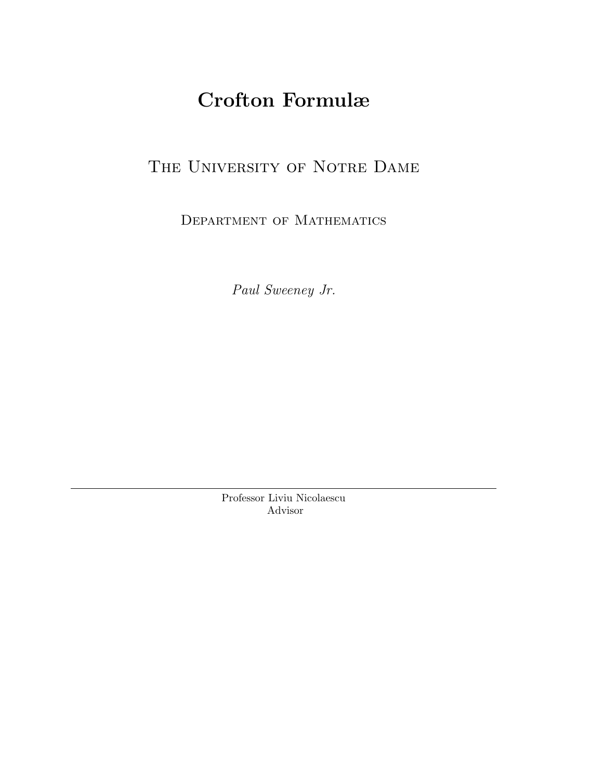# Crofton Formulæ

## THE UNIVERSITY OF NOTRE DAME

Department of Mathematics

Paul Sweeney Jr.

Professor Liviu Nicolaescu Advisor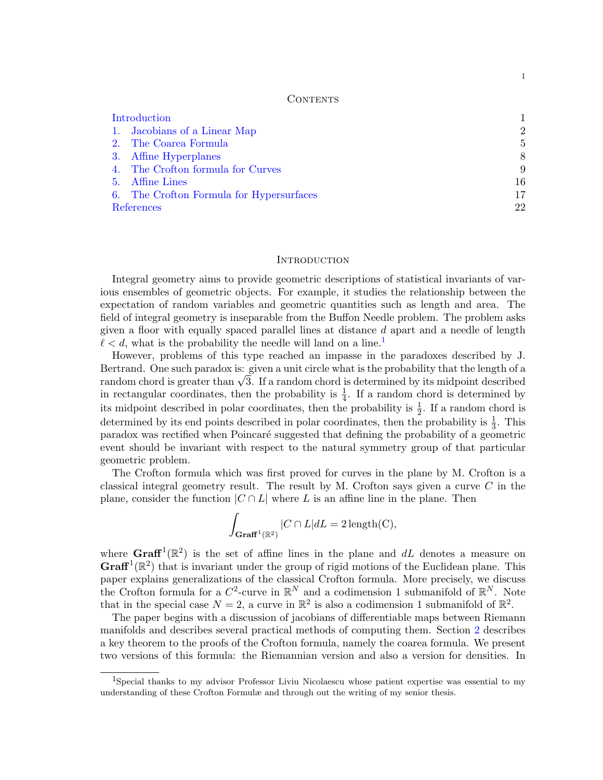### **CONTENTS**

| Introduction                             |                |
|------------------------------------------|----------------|
| 1. Jacobians of a Linear Map             | $\overline{2}$ |
| 2. The Coarea Formula                    | 5              |
| 3. Affine Hyperplanes                    | 8              |
| 4. The Crofton formula for Curves        | 9              |
| 5. Affine Lines                          | 16             |
| 6. The Crofton Formula for Hypersurfaces | 17             |
| References                               | 22             |

#### <span id="page-1-0"></span>**INTRODUCTION**

Integral geometry aims to provide geometric descriptions of statistical invariants of various ensembles of geometric objects. For example, it studies the relationship between the expectation of random variables and geometric quantities such as length and area. The field of integral geometry is inseparable from the Buffon Needle problem. The problem asks given a floor with equally spaced parallel lines at distance  $d$  apart and a needle of length  $\ell < d$ , what is the probability the needle will land on a line.<sup>[1](#page-1-1)</sup>

However, problems of this type reached an impasse in the paradoxes described by J. Bertrand. One such paradox is: given a unit circle what is the probability that the length of a Bertrand. One such paradox is: given a unit circle what is the probability that the length of a<br>random chord is greater than  $\sqrt{3}$ . If a random chord is determined by its midpoint described in rectangular coordinates, then the probability is  $\frac{1}{4}$ . If a random chord is determined by its midpoint described in polar coordinates, then the probability is  $\frac{1}{2}$ . If a random chord is determined by its end points described in polar coordinates, then the probability is  $\frac{1}{3}$ . This paradox was rectified when Poincaré suggested that defining the probability of a geometric event should be invariant with respect to the natural symmetry group of that particular geometric problem.

The Crofton formula which was first proved for curves in the plane by M. Crofton is a classical integral geometry result. The result by M. Crofton says given a curve  $C$  in the plane, consider the function  $|C \cap L|$  where L is an affine line in the plane. Then

$$
\int_{\mathbf{Graff}^1(\mathbb{R}^2)} |C \cap L| dL = 2 \operatorname{length}(C),
$$

where  $\mathbf{Graff}^1(\mathbb{R}^2)$  is the set of affine lines in the plane and dL denotes a measure on  $\mathbf{Graff}^1(\mathbb{R}^2)$  that is invariant under the group of rigid motions of the Euclidean plane. This paper explains generalizations of the classical Crofton formula. More precisely, we discuss the Crofton formula for a  $C^2$ -curve in  $\mathbb{R}^N$  and a codimension 1 submanifold of  $\mathbb{R}^N$ . Note that in the special case  $N = 2$ , a curve in  $\mathbb{R}^2$  is also a codimension 1 submanifold of  $\mathbb{R}^2$ .

The paper begins with a discussion of jacobians of differentiable maps between Riemann manifolds and describes several practical methods of computing them. Section [2](#page-5-0) describes a key theorem to the proofs of the Crofton formula, namely the coarea formula. We present two versions of this formula: the Riemannian version and also a version for densities. In

1

<span id="page-1-1"></span><sup>&</sup>lt;sup>1</sup>Special thanks to my advisor Professor Liviu Nicolaescu whose patient expertise was essential to my understanding of these Crofton Formulæ and through out the writing of my senior thesis.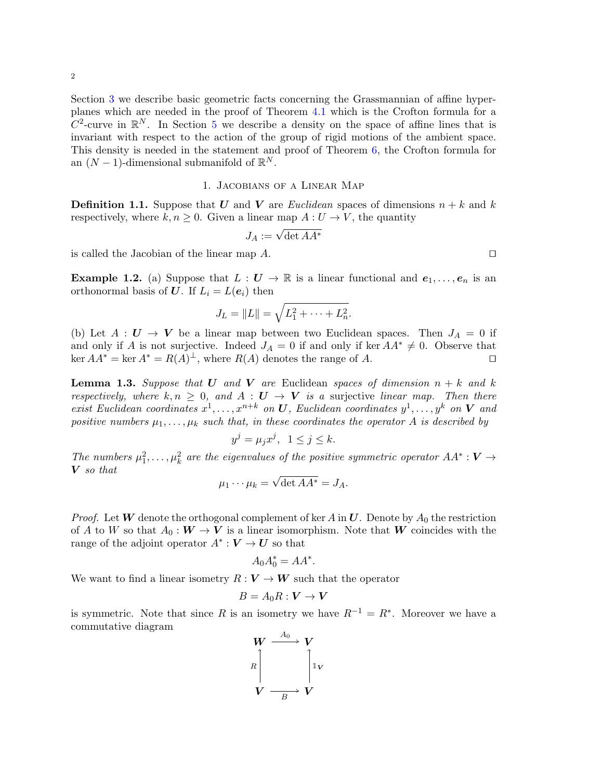Section [3](#page-8-0) we describe basic geometric facts concerning the Grassmannian of affine hyperplanes which are needed in the proof of Theorem [4.1](#page-9-1) which is the Crofton formula for a  $C^2$ -curve in  $\mathbb{R}^N$ . In Section [5](#page-16-0) we describe a density on the space of affine lines that is invariant with respect to the action of the group of rigid motions of the ambient space. This density is needed in the statement and proof of Theorem [6,](#page-17-0) the Crofton formula for an  $(N-1)$ -dimensional submanifold of  $\mathbb{R}^N$ .

### 1. Jacobians of a Linear Map

<span id="page-2-0"></span>**Definition 1.1.** Suppose that U and V are Euclidean spaces of dimensions  $n + k$  and k respectively, where  $k, n \geq 0$ . Given a linear map  $A: U \to V$ , the quantity

$$
J_A:=\sqrt{\det AA^*}
$$

is called the Jacobian of the linear map  $A$ .

**Example 1.2.** (a) Suppose that  $L: U \to \mathbb{R}$  is a linear functional and  $e_1, \ldots, e_n$  is an orthonormal basis of U. If  $L_i = L(e_i)$  then

$$
J_L = ||L|| = \sqrt{L_1^2 + \dots + L_n^2}.
$$

(b) Let  $A: U \to V$  be a linear map between two Euclidean spaces. Then  $J_A = 0$  if and only if A is not surjective. Indeed  $J_A = 0$  if and only if ker  $AA^* \neq 0$ . Observe that  $\ker AA^* = \ker A^* = R(A)^{\perp}$ , where  $R(A)$  denotes the range of A.

<span id="page-2-1"></span>**Lemma 1.3.** Suppose that U and V are Euclidean spaces of dimension  $n + k$  and k respectively, where  $k, n \geq 0$ , and  $A : U \to V$  is a surjective linear map. Then there exist Euclidean coordinates  $x^1, \ldots, x^{n+k}$  on U, Euclidean coordinates  $y^1, \ldots, y^k$  on V and positive numbers  $\mu_1, \ldots, \mu_k$  such that, in these coordinates the operator A is described by

$$
y^j = \mu_j x^j, \ \ 1 \le j \le k.
$$

The numbers  $\mu_1^2, \ldots, \mu_k^2$  are the eigenvalues of the positive symmetric operator  $AA^*: V \rightarrow$ V so that √

$$
\mu_1 \cdots \mu_k = \sqrt{\det AA^*} = J_A.
$$

*Proof.* Let W denote the orthogonal complement of ker A in U. Denote by  $A_0$  the restriction of A to W so that  $A_0: W \to V$  is a linear isomorphism. Note that W coincides with the range of the adjoint operator  $A^* : V \to U$  so that

$$
A_0 A_0^* = A A^*.
$$

We want to find a linear isometry  $R: V \to W$  such that the operator

$$
B=A_0R:V\to V
$$

is symmetric. Note that since R is an isometry we have  $R^{-1} = R^*$ . Moreover we have a commutative diagram  $\Lambda$ 

$$
W \xrightarrow{\phantom{a_0}} V
$$
  

$$
R \downarrow \qquad \qquad \downarrow \downarrow \downarrow
$$
  

$$
V \xrightarrow{\phantom{a_0}} V
$$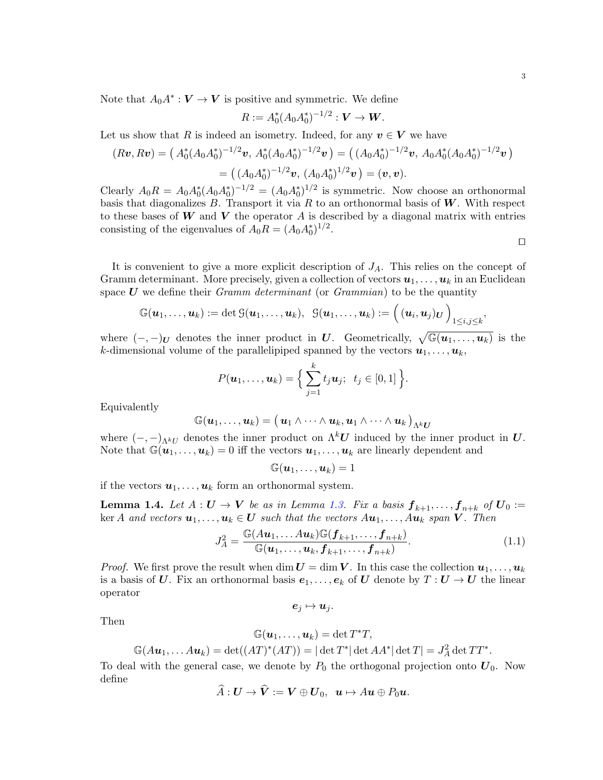Note that  $A_0 A^* : V \to V$  is positive and symmetric. We define

$$
R:=A_0^*(A_0A_0^*)^{-1/2}:\boldsymbol{V}\to\boldsymbol{W}.
$$

Let us show that R is indeed an isometry. Indeed, for any  $v \in V$  we have

$$
(R\boldsymbol{v}, R\boldsymbol{v}) = \left(A_0^*(A_0A_0^*)^{-1/2}\boldsymbol{v}, A_0^*(A_0A_0^*)^{-1/2}\boldsymbol{v}\right) = \left((A_0A_0^*)^{-1/2}\boldsymbol{v}, A_0A_0^*(A_0A_0^*)^{-1/2}\boldsymbol{v}\right)
$$

$$
= \left((A_0A_0^*)^{-1/2}\boldsymbol{v}, (A_0A_0^*)^{1/2}\boldsymbol{v}\right) = (\boldsymbol{v}, \boldsymbol{v}).
$$

Clearly  $A_0R = A_0A_0^*(A_0A_0^*)^{-1/2} = (A_0A_0^*)^{1/2}$  is symmetric. Now choose an orthonormal basis that diagonalizes  $B$ . Transport it via  $R$  to an orthonormal basis of  $W$ . With respect to these bases of  $W$  and  $V$  the operator  $A$  is described by a diagonal matrix with entries consisting of the eigenvalues of  $A_0R = (A_0A_0^*)^{1/2}$ .

 $\Box$ 

It is convenient to give a more explicit description of  $J_A$ . This relies on the concept of Gramm determinant. More precisely, given a collection of vectors  $u_1, \ldots, u_k$  in an Euclidean space  $U$  we define their *Gramm determinant* (or *Grammian*) to be the quantity

$$
\mathbb{G}(\boldsymbol{u}_1,\ldots,\boldsymbol{u}_k):=\det\mathbb{G}(\boldsymbol{u}_1,\ldots,\boldsymbol{u}_k),\;\;\mathbb{G}(\boldsymbol{u}_1,\ldots,\boldsymbol{u}_k):=\Big(\,(\boldsymbol{u}_i,\boldsymbol{u}_j)_\boldsymbol{U}\,\Big)_{1\leq i,j\leq k},
$$

where  $(-,-)_U$  denotes the inner product in U. Geometrically,  $\sqrt{\mathbb{G}(u_1,\ldots,u_k)}$  is the k-dimensional volume of the parallelipiped spanned by the vectors  $u_1, \ldots, u_k$ ,

$$
P(\boldsymbol{u}_1,\ldots,\boldsymbol{u}_k)=\Big\{\sum_{j=1}^k t_j\boldsymbol{u}_j;\ \ t_j\in[0,1]\Big\}.
$$

Equivalently

$$
\mathbb{G}(\boldsymbol{u}_1,\ldots,\boldsymbol{u}_k) = \big(\,\boldsymbol{u}_1 \wedge \cdots \wedge \boldsymbol{u}_k, \boldsymbol{u}_1 \wedge \cdots \wedge \boldsymbol{u}_k\,\big)_{\Lambda^k \boldsymbol{U}}
$$

where  $(-,-)_{\Lambda^k U}$  denotes the inner product on  $\Lambda^k U$  induced by the inner product in U. Note that  $\mathbb{G}(u_1,\ldots,u_k)=0$  iff the vectors  $u_1,\ldots,u_k$  are linearly dependent and

$$
\mathbb{G}(\boldsymbol{u}_1,\ldots,\boldsymbol{u}_k)=1
$$

if the vectors  $u_1, \ldots, u_k$  form an orthonormal system.

**Lemma 1.4.** Let  $A: U \to V$  be as in Lemma [1.3.](#page-2-1) Fix a basis  $f_{k+1}, \ldots, f_{n+k}$  of  $U_0 :=$ ker A and vectors  $u_1, \ldots, u_k \in U$  such that the vectors  $Au_1, \ldots, Au_k$  span  $V$ . Then

$$
J_A^2 = \frac{\mathbb{G}(A\boldsymbol{u}_1,\ldots A\boldsymbol{u}_k)\mathbb{G}(\boldsymbol{f}_{k+1},\ldots,\boldsymbol{f}_{n+k})}{\mathbb{G}(\boldsymbol{u}_1,\ldots,\boldsymbol{u}_k,\boldsymbol{f}_{k+1},\ldots,\boldsymbol{f}_{n+k})}.
$$
(1.1)

*Proof.* We first prove the result when dim  $U = \dim V$ . In this case the collection  $u_1, \ldots, u_k$ is a basis of U. Fix an orthonormal basis  $e_1, \ldots, e_k$  of U denote by  $T: U \to U$  the linear operator

 $e_j \mapsto u_j$ .

Then

$$
\mathbb{G}(\boldsymbol{u}_1,\ldots,\boldsymbol{u}_k)=\det T^*T,
$$

 $\mathbb{G}(A\boldsymbol{u}_1,\dots A\boldsymbol{u}_k)=\det((AT)^*(AT))=|\det T^*|\det AA^*|\det T|=J_A^2\det TT^*.$ 

To deal with the general case, we denote by  $P_0$  the orthogonal projection onto  $U_0$ . Now define

$$
\widehat{A}: \boldsymbol{U} \to \boldsymbol{V} := \boldsymbol{V} \oplus \boldsymbol{U}_0, \ \ \boldsymbol{u} \mapsto A\boldsymbol{u} \oplus P_0\boldsymbol{u}.
$$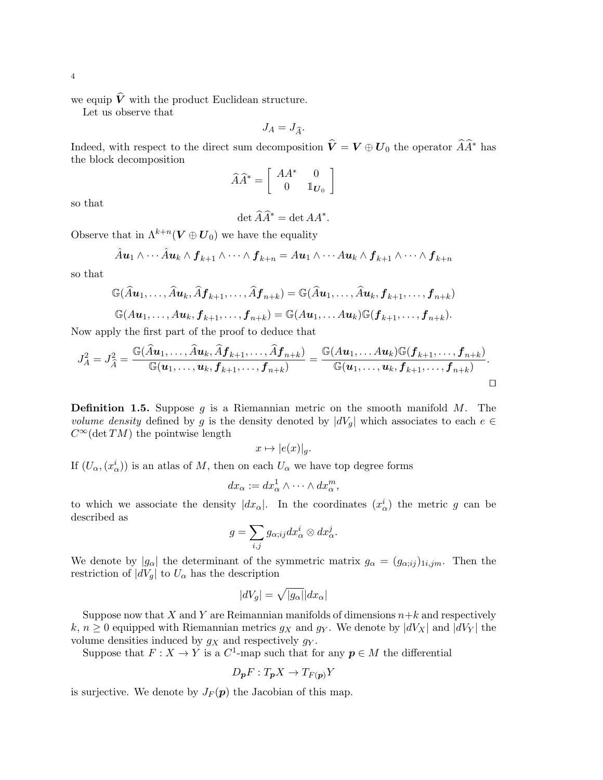we equip  $\hat{V}$  with the product Euclidean structure.

Let us observe that

$$
J_A = J_{\widehat{A}}.
$$

Indeed, with respect to the direct sum decomposition  $\hat{V} = V \oplus U_0$  the operator  $\hat{A}\hat{A}^*$  has the block decomposition

$$
\widehat{A}\widehat{A}^* = \left[ \begin{array}{cc} AA^* & 0 \\ 0 & \mathbb{1}_{\boldsymbol{U}_0} \end{array} \right]
$$

so that

 $\det \widehat{A}\widehat{A}^* = \det AA^*.$ 

Observe that in  $\Lambda^{k+n}(\boldsymbol{V} \oplus \boldsymbol{U}_0)$  we have the equality

$$
\hat{A}u_1\wedge\cdots\hat{A}u_k\wedge f_{k+1}\wedge\cdots\wedge f_{k+n}=A u_1\wedge\cdots A u_k\wedge f_{k+1}\wedge\cdots\wedge f_{k+n}
$$

so that

$$
\mathbb{G}(\widehat{A}u_1,\ldots,\widehat{A}u_k,\widehat{A}f_{k+1},\ldots,\widehat{A}f_{n+k})=\mathbb{G}(\widehat{A}u_1,\ldots,\widehat{A}u_k,f_{k+1},\ldots,f_{n+k})
$$

$$
\mathbb{G}(A\boldsymbol{u}_1,\ldots,A\boldsymbol{u}_k,\boldsymbol{f}_{k+1},\ldots,\boldsymbol{f}_{n+k})=\mathbb{G}(A\boldsymbol{u}_1,\ldots A\boldsymbol{u}_k)\mathbb{G}(\boldsymbol{f}_{k+1},\ldots,\boldsymbol{f}_{n+k}).
$$

Now apply the first part of the proof to deduce that

$$
J_A^2 = J_{\widehat{A}}^2 = \frac{\mathbb{G}(\widehat{A}u_1,\ldots,\widehat{A}u_k,\widehat{A}f_{k+1},\ldots,\widehat{A}f_{n+k})}{\mathbb{G}(u_1,\ldots,u_k,f_{k+1},\ldots,f_{n+k})} = \frac{\mathbb{G}(Au_1,\ldotsAu_k)\mathbb{G}(f_{k+1},\ldots,f_{n+k})}{\mathbb{G}(u_1,\ldots,u_k,f_{k+1},\ldots,f_{n+k})}.
$$

**Definition 1.5.** Suppose  $q$  is a Riemannian metric on the smooth manifold  $M$ . The volume density defined by g is the density denoted by  $|dV_g|$  which associates to each  $e \in$  $C^{\infty}(\det TM)$  the pointwise length

$$
x \mapsto |e(x)|_g.
$$

If  $(U_\alpha,(x_\alpha^i))$  is an atlas of M, then on each  $U_\alpha$  we have top degree forms

$$
dx_{\alpha} := dx_{\alpha}^1 \wedge \cdots \wedge dx_{\alpha}^m,
$$

to which we associate the density  $|dx_{\alpha}|$ . In the coordinates  $(x_{\alpha}^{i})$  the metric g can be described as

$$
g=\sum_{i,j}g_{\alpha;ij}dx^i_\alpha\otimes dx^j_\alpha.
$$

We denote by  $|g_{\alpha}|$  the determinant of the symmetric matrix  $g_{\alpha} = (g_{\alpha;ij})_{1i,jm}$ . Then the restriction of  $|dV_q|$  to  $U_\alpha$  has the description

$$
|dV_g| = \sqrt{|g_\alpha|}|dx_\alpha|
$$

Suppose now that X and Y are Reimannian manifolds of dimensions  $n+k$  and respectively k,  $n \geq 0$  equipped with Riemannian metrics  $g_X$  and  $g_Y$ . We denote by  $|dV_X|$  and  $|dV_Y|$  the volume densities induced by  $g_X$  and respectively  $g_Y$ .

Suppose that  $F: X \to Y$  is a  $C^1$ -map such that for any  $p \in M$  the differential

$$
D_{\boldsymbol{p}}F: T_{\boldsymbol{p}}X \to T_{F(\boldsymbol{p})}Y
$$

is surjective. We denote by  $J_F(p)$  the Jacobian of this map.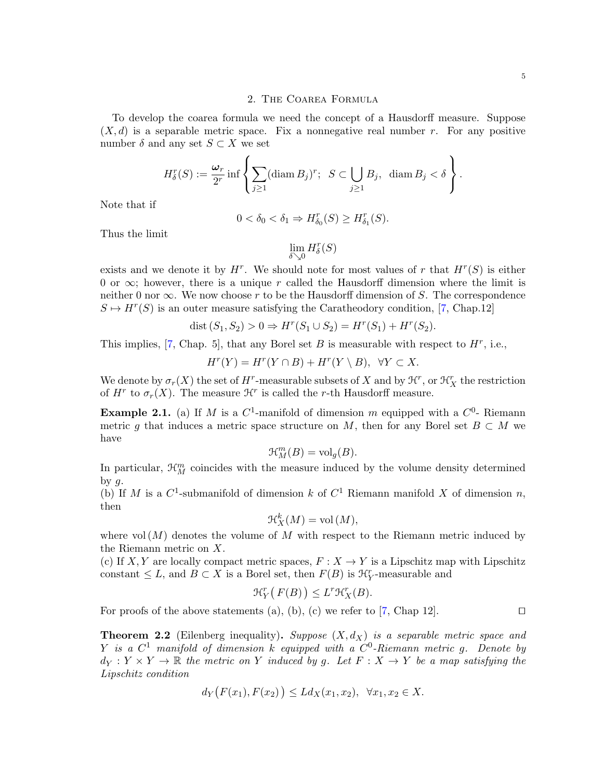#### 2. The Coarea Formula

<span id="page-5-0"></span>To develop the coarea formula we need the concept of a Hausdorff measure. Suppose  $(X, d)$  is a separable metric space. Fix a nonnegative real number r. For any positive number  $\delta$  and any set  $S \subset X$  we set

$$
H_{\delta}^r(S) := \frac{\omega_r}{2^r} \inf \left\{ \sum_{j\geq 1} (\operatorname{diam} B_j)^r; \ \ S \subset \bigcup_{j\geq 1} B_j, \ \operatorname{diam} B_j < \delta \right\}.
$$

Note that if

$$
0 < \delta_0 < \delta_1 \Rightarrow H^r_{\delta_0}(S) \ge H^r_{\delta_1}(S).
$$

Thus the limit

 $\lim_{\delta \searrow 0} H^r_\delta(S)$ 

exists and we denote it by  $H^r$ . We should note for most values of r that  $H^r(S)$  is either 0 or  $\infty$ ; however, there is a unique r called the Hausdorff dimension where the limit is neither 0 nor  $\infty$ . We now choose r to be the Hausdorff dimension of S. The correspondence  $S \mapsto H^r(S)$  is an outer measure satisfying the Caratheodory condition, [\[7,](#page-22-1) Chap.12]

dist 
$$
(S_1, S_2) > 0 \Rightarrow H^r(S_1 \cup S_2) = H^r(S_1) + H^r(S_2)
$$
.

This implies,  $[7,$  Chap. 5, that any Borel set B is measurable with respect to  $H^r$ , i.e.,

$$
H^r(Y) = H^r(Y \cap B) + H^r(Y \setminus B), \ \ \forall Y \subset X.
$$

We denote by  $\sigma_r(X)$  the set of  $H^r$ -measurable subsets of X and by  $\mathcal{H}^r$ , or  $\mathcal{H}_X^r$  the restriction of  $H^r$  to  $\sigma_r(X)$ . The measure  $\mathcal{H}^r$  is called the r-th Hausdorff measure.

**Example 2.1.** (a) If M is a  $C^1$ -manifold of dimension m equipped with a  $C^0$ - Riemann metric q that induces a metric space structure on M, then for any Borel set  $B \subset M$  we have

$$
\mathcal{H}_M^m(B) = \text{vol}_g(B).
$$

In particular,  $\mathcal{H}_{M}^{m}$  coincides with the measure induced by the volume density determined by  $q$ .

(b) If M is a  $C^1$ -submanifold of dimension k of  $C^1$  Riemann manifold X of dimension n, then

$$
\mathcal{H}_X^k(M) = \text{vol}\,(M),
$$

where vol  $(M)$  denotes the volume of M with respect to the Riemann metric induced by the Riemann metric on X.

(c) If X, Y are locally compact metric spaces,  $F: X \to Y$  is a Lipschitz map with Lipschitz constant  $\leq L$ , and  $B \subset X$  is a Borel set, then  $F(B)$  is  $\mathcal{H}_Y^r$ -measurable and

$$
\mathcal{H}_Y^r\big(F(B)\big) \le L^r \mathcal{H}_X^r(B).
$$

For proofs of the above statements (a), (b), (c) we refer to [\[7,](#page-22-1) Chap 12].  $\Box$ 

<span id="page-5-1"></span>**Theorem 2.2** (Eilenberg inequality). Suppose  $(X, d_X)$  is a separable metric space and Y is a  $C^1$  manifold of dimension k equipped with a  $C^0$ -Riemann metric g. Denote by  $d_Y: Y \times Y \to \mathbb{R}$  the metric on Y induced by g. Let  $F: X \to Y$  be a map satisfying the Lipschitz condition

$$
d_Y(F(x_1), F(x_2)) \le Ld_X(x_1, x_2), \ \forall x_1, x_2 \in X.
$$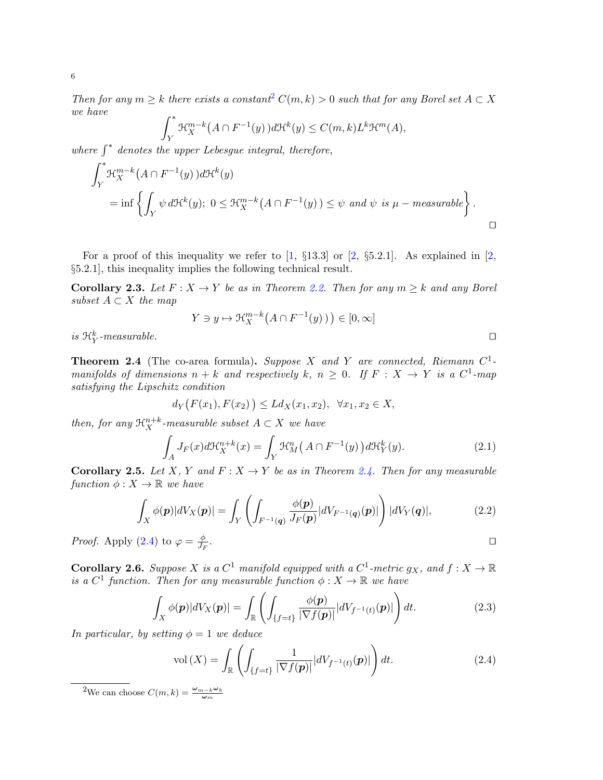Then for any  $m \geq k$  there exists a constant  $C(m, k) > 0$  such that for any Borel set  $A \subset X$ we have

$$
\int_Y^* \mathcal{H}_X^{m-k}\big(A \cap F^{-1}(y)\big)d\mathcal{H}^k(y) \le C(m,k)L^k \mathcal{H}^m(A),
$$

 $\frac{J_Y}{J_Y}$  where  $\int^*$  denotes the upper Lebesgue integral, therefore,

$$
\int_{Y}^{*} \mathcal{H}_{X}^{m-k}(A \cap F^{-1}(y)) d\mathcal{H}^{k}(y)
$$
\n
$$
= \inf \left\{ \int_{Y} \psi d\mathcal{H}^{k}(y); \ 0 \leq \mathcal{H}_{X}^{m-k}(A \cap F^{-1}(y)) \leq \psi \ and \ \psi \ is \ \mu-measurable \right\}.
$$

For a proof of this inequality we refer to  $[1, \S 13.3]$  or  $[2, \S 5.2.1]$ . As explained in  $[2, \S 2.1]$ §5.2.1], this inequality implies the following technical result.

**Corollary 2.3.** Let  $F: X \to Y$  be as in Theorem [2.2.](#page-5-1) Then for any  $m \geq k$  and any Borel subset  $A \subset X$  the map

$$
Y \ni y \mapsto \mathfrak{R}_X^{m-k}\big(A \cap F^{-1}(y)\big)\big) \in [0,\infty]
$$

is  $\mathfrak{R}_Y^k$ -measurable.

<span id="page-6-1"></span>**Theorem 2.4** (The co-area formula). Suppose X and Y are connected, Riemann  $C^1$ manifolds of dimensions  $n + k$  and respectively k,  $n \geq 0$ . If  $F : X \rightarrow Y$  is a  $C^1$ -map satisfying the Lipschitz condition

$$
d_Y(F(x_1), F(x_2)) \le Ld_X(x_1, x_2), \ \forall x_1, x_2 \in X,
$$

then, for any  $\mathfrak{R}_X^{n+k}$ -measurable subset  $A \subset X$  we have

$$
\int_{A} J_F(x) d\mathcal{H}_X^{n+k}(x) = \int_Y \mathcal{H}_M^n\left(A \cap F^{-1}(y)\right) d\mathcal{H}_Y^k(y). \tag{2.1}
$$

**Corollary 2.5.** Let X, Y and  $F: X \to Y$  be as in Theorem [2.4.](#page-6-1) Then for any measurable function  $\phi: X \to \mathbb{R}$  we have

<span id="page-6-3"></span>
$$
\int_X \phi(\mathbf{p})|dV_X(\mathbf{p})| = \int_Y \left( \int_{F^{-1}(\mathbf{q})} \frac{\phi(\mathbf{p})}{J_F(\mathbf{p})}|dV_{F^{-1}(\mathbf{q})}(\mathbf{p})| \right) |dV_Y(\mathbf{q})|, \tag{2.2}
$$

*Proof.* Apply [\(2.4\)](#page-6-1) to  $\varphi = \frac{\phi}{L}$  $\overline{J_F}$ . The contract of the contract of the contract of the contract of  $\Box$ 

**Corollary 2.6.** Suppose X is a  $C^1$  manifold equipped with a  $C^1$ -metric  $g_X$ , and  $f: X \to \mathbb{R}$ is a  $C^1$  function. Then for any measurable function  $\phi: X \to \mathbb{R}$  we have

$$
\int_X \phi(\mathbf{p}) |dV_X(\mathbf{p})| = \int_{\mathbb{R}} \left( \int_{\{f=t\}} \frac{\phi(\mathbf{p})}{|\nabla f(\mathbf{p})|} |dV_{f^{-1}(t)}(\mathbf{p})| \right) dt.
$$
\n(2.3)

In particular, by setting  $\phi = 1$  we deduce

<span id="page-6-2"></span>
$$
\text{vol}\left(X\right) = \int_{\mathbb{R}} \left( \int_{\{f=t\}} \frac{1}{\left|\nabla f(\boldsymbol{p})\right|} |dV_{f^{-1}(t)}(\boldsymbol{p})| \right) dt. \tag{2.4}
$$

<span id="page-6-0"></span><sup>2</sup>We can choose  $C(m, k) = \frac{\omega_{m-k}\omega_k}{\omega_m}$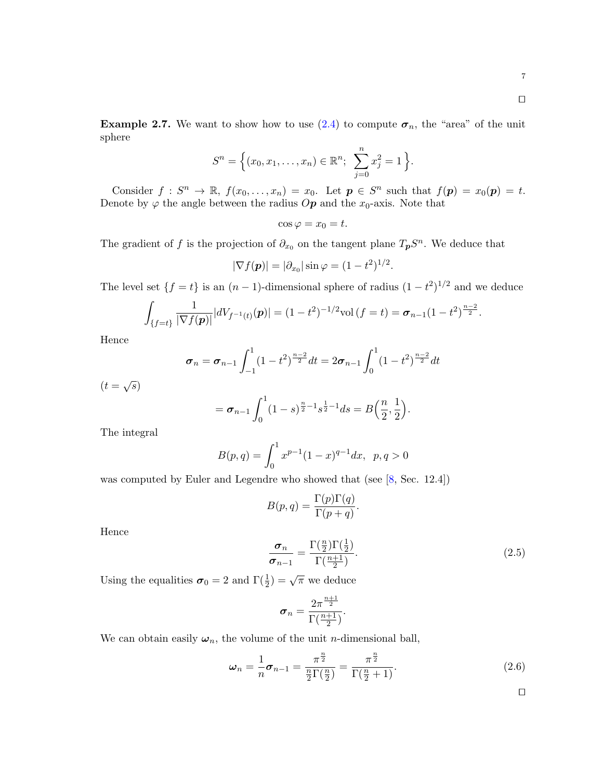$\Box$ 

<span id="page-7-0"></span>**Example 2.7.** We want to show how to use [\(2.4\)](#page-6-2) to compute  $\sigma_n$ , the "area" of the unit sphere

$$
S^{n} = \Big\{ (x_0, x_1, \dots, x_n) \in \mathbb{R}^n; \ \sum_{j=0}^{n} x_j^2 = 1 \Big\}.
$$

Consider  $f: S^n \to \mathbb{R}, f(x_0, \ldots, x_n) = x_0$ . Let  $p \in S^n$  such that  $f(p) = x_0(p) = t$ . Denote by  $\varphi$  the angle between the radius  $Op$  and the  $x_0$ -axis. Note that

$$
\cos \varphi = x_0 = t.
$$

The gradient of f is the projection of  $\partial_{x_0}$  on the tangent plane  $T_pS^n$ . We deduce that

$$
|\nabla f(\boldsymbol{p})| = |\partial_{x_0}| \sin \varphi = (1 - t^2)^{1/2}.
$$

The level set  $\{f = t\}$  is an  $(n - 1)$ -dimensional sphere of radius  $(1 - t^2)^{1/2}$  and we deduce

$$
\int_{\{f=t\}} \frac{1}{|\nabla f(\boldsymbol{p})|} |dV_{f^{-1}(t)}(\boldsymbol{p})| = (1-t^2)^{-1/2} \text{vol}(f=t) = \boldsymbol{\sigma}_{n-1} (1-t^2)^{\frac{n-2}{2}}.
$$

Hence

$$
\boldsymbol{\sigma}_n = \boldsymbol{\sigma}_{n-1} \int_{-1}^1 (1-t^2)^{\frac{n-2}{2}} dt = 2\boldsymbol{\sigma}_{n-1} \int_0^1 (1-t^2)^{\frac{n-2}{2}} dt
$$

 $(t=\sqrt{s})$ 

$$
= \sigma_{n-1} \int_0^1 (1-s)^{\frac{n}{2}-1} s^{\frac{1}{2}-1} ds = B\Big(\frac{n}{2},\frac{1}{2}\Big).
$$

The integral

$$
B(p,q) = \int_0^1 x^{p-1} (1-x)^{q-1} dx, \ \ p, q > 0
$$

was computed by Euler and Legendre who showed that (see [\[8,](#page-22-4) Sec. 12.4])

$$
B(p,q) = \frac{\Gamma(p)\Gamma(q)}{\Gamma(p+q)}.
$$

Hence

<span id="page-7-2"></span>
$$
\frac{\sigma_n}{\sigma_{n-1}} = \frac{\Gamma(\frac{n}{2})\Gamma(\frac{1}{2})}{\Gamma(\frac{n+1}{2})}.
$$
\n(2.5)

Using the equalities  $\sigma_0 = 2$  and  $\Gamma(\frac{1}{2}) = \sqrt{\pi}$  we deduce

$$
\pmb{\sigma}_n = \frac{2\pi^{\frac{n+1}{2}}}{\Gamma(\frac{n+1}{2})}.
$$

We can obtain easily  $\omega_n$ , the volume of the unit *n*-dimensional ball,

<span id="page-7-1"></span>
$$
\omega_n = \frac{1}{n} \sigma_{n-1} = \frac{\pi^{\frac{n}{2}}}{\frac{n}{2} \Gamma(\frac{n}{2})} = \frac{\pi^{\frac{n}{2}}}{\Gamma(\frac{n}{2} + 1)}.
$$
 (2.6)

 $\Box$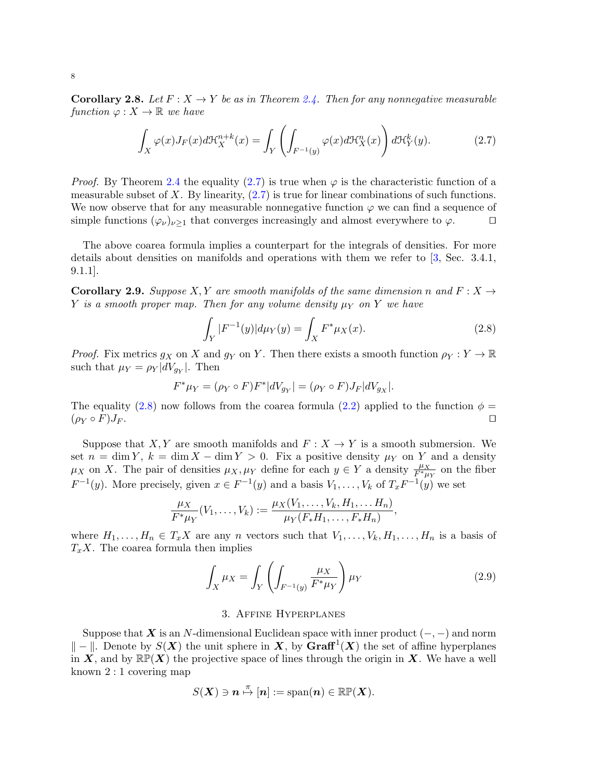**Corollary 2.8.** Let  $F: X \to Y$  be as in Theorem [2.4.](#page-6-1) Then for any nonnegative measurable function  $\varphi: X \to \mathbb{R}$  we have

<span id="page-8-1"></span>
$$
\int_X \varphi(x) J_F(x) d\mathfrak{H}_X^{n+k}(x) = \int_Y \left( \int_{F^{-1}(y)} \varphi(x) d\mathfrak{H}_X^n(x) \right) d\mathfrak{H}_Y^k(y). \tag{2.7}
$$

*Proof.* By Theorem [2.4](#page-6-1) the equality [\(2.7\)](#page-8-1) is true when  $\varphi$  is the characteristic function of a measurable subset of X. By linearity,  $(2.7)$  is true for linear combinations of such functions. We now observe that for any measurable nonnegative function  $\varphi$  we can find a sequence of simple functions  $(\varphi_{\nu})_{\nu>1}$  that converges increasingly and almost everywhere to  $\varphi$ .

The above coarea formula implies a counterpart for the integrals of densities. For more details about densities on manifolds and operations with them we refer to [\[3,](#page-22-5) Sec. 3.4.1, 9.1.1].

**Corollary 2.9.** Suppose X, Y are smooth manifolds of the same dimension n and  $F: X \rightarrow$ Y is a smooth proper map. Then for any volume density  $\mu_Y$  on Y we have

<span id="page-8-2"></span>
$$
\int_{Y} |F^{-1}(y)| d\mu_Y(y) = \int_X F^* \mu_X(x).
$$
\n(2.8)

*Proof.* Fix metrics  $g_X$  on X and  $g_Y$  on Y. Then there exists a smooth function  $\rho_Y : Y \to \mathbb{R}$ such that  $\mu_Y = \rho_Y |dV_{g_Y}|$ . Then

$$
F^*\mu_Y = (\rho_Y \circ F)F^*|dV_{g_Y}| = (\rho_Y \circ F)J_F|dV_{g_X}|.
$$

The equality [\(2.8\)](#page-8-2) now follows from the coarea formula [\(2.2\)](#page-6-3) applied to the function  $\phi =$  $(\rho_Y \circ F)J_F.$ 

Suppose that X, Y are smooth manifolds and  $F: X \to Y$  is a smooth submersion. We set  $n = \dim Y$ ,  $k = \dim X - \dim Y > 0$ . Fix a positive density  $\mu_Y$  on Y and a density  $\mu_X$  on X. The pair of densities  $\mu_X, \mu_Y$  define for each  $y \in Y$  a density  $\frac{\mu_X}{F^* \mu_Y}$  on the fiber  $F^{-1}(y)$ . More precisely, given  $x \in F^{-1}(y)$  and a basis  $V_1, \ldots, V_k$  of  $T_x F^{-1}(y)$  we set

$$
\frac{\mu_X}{F^*\mu_Y}(V_1,\ldots,V_k) := \frac{\mu_X(V_1,\ldots,V_k,H_1,\ldots,H_n)}{\mu_Y(F_*H_1,\ldots,F_*H_n)},
$$

where  $H_1, \ldots, H_n \in T_x X$  are any n vectors such that  $V_1, \ldots, V_k, H_1, \ldots, H_n$  is a basis of  $T_xX$ . The coarea formula then implies

<span id="page-8-3"></span>
$$
\int_X \mu_X = \int_Y \left( \int_{F^{-1}(y)} \frac{\mu_X}{F^* \mu_Y} \right) \mu_Y \tag{2.9}
$$

## 3. Affine Hyperplanes

<span id="page-8-0"></span>Suppose that X is an N-dimensional Euclidean space with inner product  $(-, -)$  and norm  $k = k$ . Denote by  $S(X)$  the unit sphere in X, by Graff<sup>1</sup>(X) the set of affine hyperplanes in X, and by  $\mathbb{RP}(X)$  the projective space of lines through the origin in X. We have a well known 2 : 1 covering map

$$
S(\boldsymbol{X}) \ni \boldsymbol{n} \stackrel{\pi}{\mapsto} [\boldsymbol{n}] := \mathrm{span}(\boldsymbol{n}) \in \mathbb{RP}(\boldsymbol{X}).
$$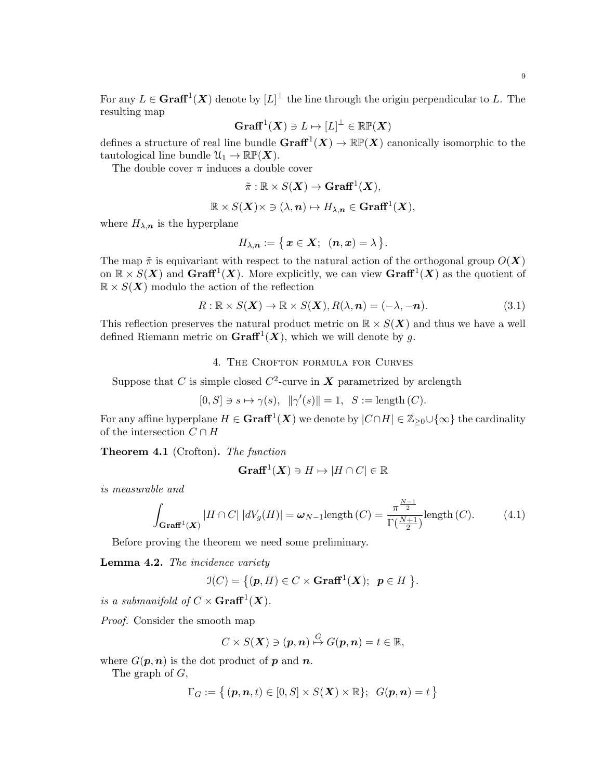For any  $L \in \mathbf{Graff}^1(\mathbf{X})$  denote by  $[L]^\perp$  the line through the origin perpendicular to L. The resulting map

$$
\mathbf{Graff}^1(\boldsymbol{X})\ni L\mapsto [L]^\perp\in\mathbb{RP}(\boldsymbol{X})
$$

defines a structure of real line bundle  $\mathbf{Graff}^1(\mathbf{X}) \to \mathbb{RP}(\mathbf{X})$  canonically isomorphic to the tautological line bundle  $\mathcal{U}_1 \to \mathbb{RP}(\mathbf{X})$ .

The double cover  $\pi$  induces a double cover

$$
\tilde{\pi} : \mathbb{R} \times S(\mathbf{X}) \to \mathbf{Graff}^1(\mathbf{X}),
$$

$$
\mathbb{R} \times S(\mathbf{X}) \times \ni (\lambda, n) \mapsto H_{\lambda, n} \in \mathbf{Graff}^1(\mathbf{X}),
$$

where  $H_{\lambda,n}$  is the hyperplane

$$
H_{\lambda,\boldsymbol{n}}:=\bigl\{\,\boldsymbol{x}\in\boldsymbol{X};\;\;(\boldsymbol{n},\boldsymbol{x})=\lambda\,\bigr\}.
$$

The map  $\tilde{\pi}$  is equivariant with respect to the natural action of the orthogonal group  $O(X)$ on  $\mathbb{R} \times S(X)$  and  $\text{Graff}^1(X)$ . More explicitly, we can view  $\text{Graff}^1(X)$  as the quotient of  $\mathbb{R} \times S(\mathbf{X})$  modulo the action of the reflection

$$
R: \mathbb{R} \times S(\mathbf{X}) \to \mathbb{R} \times S(\mathbf{X}), R(\lambda, n) = (-\lambda, -n). \tag{3.1}
$$

This reflection preserves the natural product metric on  $\mathbb{R} \times S(\mathbf{X})$  and thus we have a well defined Riemann metric on  $\mathbf{Graff}^1(X)$ , which we will denote by g.

## 4. THE CROFTON FORMULA FOR CURVES

<span id="page-9-0"></span>Suppose that C is simple closed  $C^2$ -curve in X parametrized by arclength

$$
[0,S]\ni s\mapsto \gamma(s),\;\; \|\gamma'(s)\|=1,\;\; S:=\text{length}\,(C).
$$

For any affine hyperplane  $H \in \mathbf{Graff}^1(\bm{X})$  we denote by  $|C \cap H| \in \mathbb{Z}_{\geq 0} \cup \{\infty\}$  the cardinality of the intersection  $C \cap H$ 

<span id="page-9-1"></span>**Theorem 4.1** (Crofton). The function

$$
\mathbf{Graff}^1(\boldsymbol{X}) \ni H \mapsto |H \cap C| \in \mathbb{R}
$$

is measurable and

<span id="page-9-2"></span>
$$
\int_{\mathbf{Graff}^1(\mathbf{X})} |H \cap C| |dV_g(H)| = \omega_{N-1} \text{length}(C) = \frac{\pi^{\frac{N-1}{2}}}{\Gamma(\frac{N+1}{2})} \text{length}(C). \tag{4.1}
$$

Before proving the theorem we need some preliminary.

Lemma 4.2. The incidence variety

$$
\mathfrak{I}(C) = \{(\mathbf{p}, H) \in C \times \mathbf{Graff}^1(\mathbf{X}); \ \mathbf{p} \in H \ \}.
$$

is a submanifold of  $C \times \mathbf{Graff}^1(X)$ .

Proof. Consider the smooth map

$$
C\times S(\mathbf{X})\ni(\mathbf{p},\mathbf{n})\stackrel{G}{\mapsto}G(\mathbf{p},\mathbf{n})=t\in\mathbb{R},
$$

where  $G(p, n)$  is the dot product of p and n.

The graph of G,

$$
\Gamma_G:=\left\{\,(\boldsymbol{p},\boldsymbol{n},t)\in[0,S]\times S(\boldsymbol{X})\times\mathbb{R}\right\};\;\;G(\boldsymbol{p},\boldsymbol{n})=t\,\right\}
$$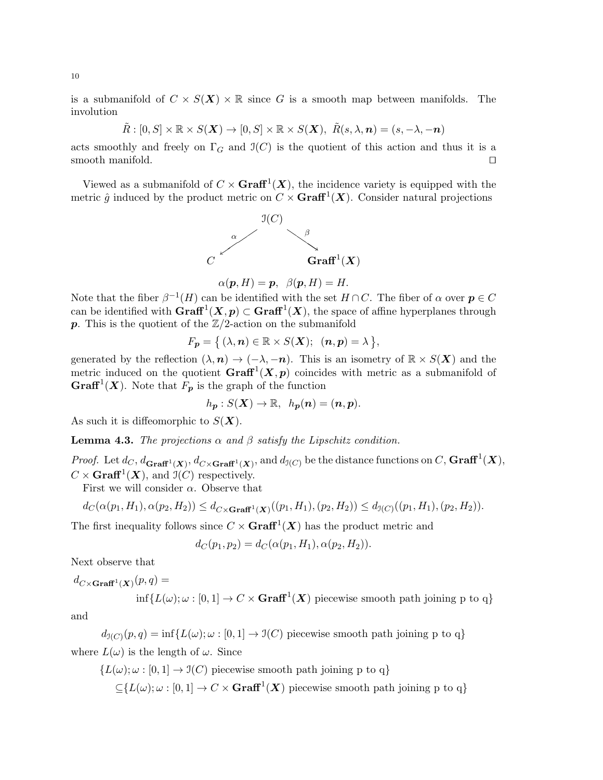is a submanifold of  $C \times S(X) \times \mathbb{R}$  since G is a smooth map between manifolds. The involution

$$
\tilde{R}: [0, S] \times \mathbb{R} \times S(\mathbf{X}) \to [0, S] \times \mathbb{R} \times S(\mathbf{X}), \ \tilde{R}(s, \lambda, n) = (s, -\lambda, -n)
$$

acts smoothly and freely on  $\Gamma_G$  and  $\mathfrak{I}(C)$  is the quotient of this action and thus it is a smooth manifold.  $\Box$ 

Viewed as a submanifold of  $C \times \mathbf{Graff}^1(X)$ , the incidence variety is equipped with the metric  $\hat{g}$  induced by the product metric on  $C \times \mathbf{Graff}^1(\mathbf{X})$ . Consider natural projections



$$
\alpha(\mathbf{p}, H) = \mathbf{p}, \ \beta(\mathbf{p}, H) = H.
$$

Note that the fiber  $\beta^{-1}(H)$  can be identified with the set  $H \cap C$ . The fiber of  $\alpha$  over  $p \in C$ can be identified with  $\mathbf{Graff}^1(\mathbf{X}, p) \subset \mathbf{Graff}^1(\mathbf{X})$ , the space of affine hyperplanes through  $p$ . This is the quotient of the  $\mathbb{Z}/2$ -action on the submanifold

$$
F_{p} = \big\{ (\lambda, n) \in \mathbb{R} \times S(\mathbf{X}); \ \ (n, p) = \lambda \big\},\
$$

generated by the reflection  $(\lambda, n) \to (-\lambda, -n)$ . This is an isometry of  $\mathbb{R} \times S(\mathbf{X})$  and the metric induced on the quotient  $\mathbf{Graff}^1(\mathbf{X},\mathbf{p})$  coincides with metric as a submanifold of **Graff**<sup>1</sup>(**X**). Note that  $F_p$  is the graph of the function

$$
h_{p}:S(\mathbf{X})\rightarrow\mathbb{R}, h_{p}(n)=(n,p).
$$

As such it is diffeomorphic to  $S(X)$ .

**Lemma 4.3.** The projections  $\alpha$  and  $\beta$  satisfy the Lipschitz condition.

*Proof.* Let  $d_C$ ,  $d_{\mathbf{Graff}^1(\mathbf{X})}$ ,  $d_{C\times\mathbf{Graff}^1(\mathbf{X})}$ , and  $d_{\mathfrak{I}(C)}$  be the distance functions on C,  $\mathbf{Graff}^1(\mathbf{X})$ ,  $C \times \mathbf{Graff}^1(\mathbf{X})$ , and  $\mathfrak{I}(C)$  respectively.

First we will consider  $\alpha$ . Observe that

$$
d_C(\alpha(p_1, H_1), \alpha(p_2, H_2)) \leq d_{C \times \mathbf{Graff}^1(\mathbf{X})}((p_1, H_1), (p_2, H_2)) \leq d_{\mathcal{I}(C)}((p_1, H_1), (p_2, H_2)).
$$

The first inequality follows since  $C \times \mathbf{Graff}^1(\mathbf{X})$  has the product metric and

$$
d_C(p_1, p_2) = d_C(\alpha(p_1, H_1), \alpha(p_2, H_2)).
$$

Next observe that

 $d_{C \times \mathbf{Graff}^1(\boldsymbol{X})}(p,q) =$ 

$$
\inf\{L(\omega);\omega:[0,1]\to C\times\mathbf{Graff}^1(\boldsymbol{X})\text{ piecewise smooth path joining p to q}\}
$$

and

 $d_{\mathfrak{I}(C)}(p,q) = \inf\{L(\omega); \omega : [0,1] \to \mathfrak{I}(C) \text{ piecewise smooth path joining } p \text{ to } q\}$ where  $L(\omega)$  is the length of  $\omega$ . Since

$$
\{L(\omega); \omega : [0,1] \to \mathfrak{I}(C) \text{ piecewise smooth path joining p to q}\}
$$

$$
\subseteq \{L(\omega); \omega : [0,1] \to C \times \mathbf{Graff}^1(\mathbf{X}) \text{ piecewise smooth path joining p to q}\}
$$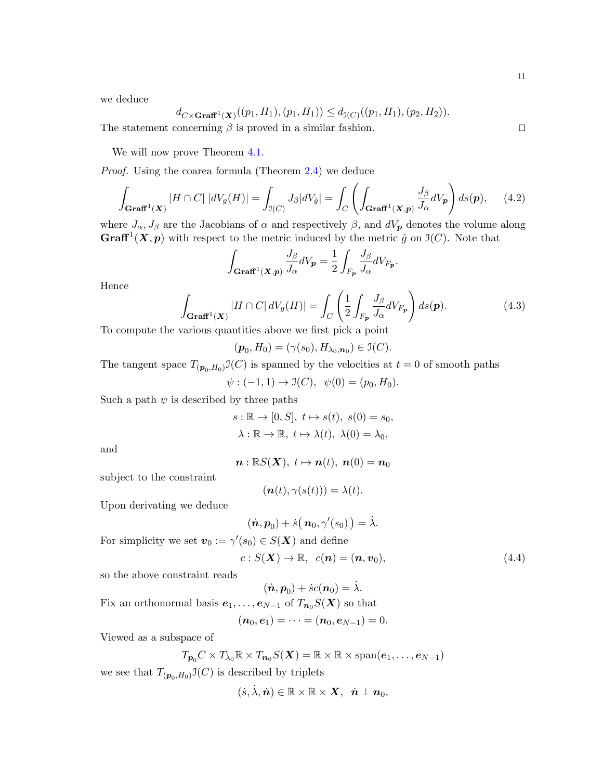we deduce

$$
d_{C \times \mathbf{Graff}^1(\mathbf{X})}((p_1, H_1), (p_1, H_1)) \leq d_{\mathcal{I}(C)}((p_1, H_1), (p_2, H_2)).
$$

The statement concerning  $\beta$  is proved in a similar fashion.  $\square$ 

We will now prove Theorem  $4.1$ .

Proof. Using the coarea formula (Theorem [2.4\)](#page-6-1) we deduce

$$
\int_{\mathbf{Graff}^1(\mathbf{X})} |H \cap C| \, |dV_g(H)| = \int_{\mathcal{I}(C)} J_\beta |dV_{\hat{g}}| = \int_C \left( \int_{\mathbf{Graff}^1(\mathbf{X}, \mathbf{p})} \frac{J_\beta}{J_\alpha} dV_\mathbf{p} \right) ds(\mathbf{p}), \tag{4.2}
$$

where  $J_{\alpha}$ ,  $J_{\beta}$  are the Jacobians of  $\alpha$  and respectively  $\beta$ , and  $dV_{p}$  denotes the volume along **Graff**<sup>1</sup> $(X, p)$  with respect to the metric induced by the metric  $\hat{g}$  on  $\mathfrak{I}(C)$ . Note that

$$
\int_{\mathbf{Graff}^1(\mathbf{X}, \mathbf{p})} \frac{J_\beta}{J_\alpha} dV_{\mathbf{p}} = \frac{1}{2} \int_{F_{\mathbf{p}}} \frac{J_\beta}{J_\alpha} dV_{F_{\mathbf{p}}}.
$$

Hence

$$
\int_{\mathbf{Graff}^1(\mathbf{X})} |H \cap C| \, dV_g(H)| = \int_C \left(\frac{1}{2} \int_{F_p} \frac{J_\beta}{J_\alpha} dV_{F_p}\right) ds(\mathbf{p}).\tag{4.3}
$$

To compute the various quantities above we first pick a point

$$
(\boldsymbol{p}_0, H_0) = (\gamma(s_0), H_{\lambda_0, \boldsymbol{n}_0}) \in \mathfrak{I}(C).
$$

The tangent space  $T_{(p_0, H_0)} \mathfrak{I}(C)$  is spanned by the velocities at  $t = 0$  of smooth paths

$$
\psi : (-1,1) \to \mathfrak{I}(C), \psi(0) = (p_0, H_0).
$$

Such a path  $\psi$  is described by three paths

 $s : \mathbb{R} \to [0, S], t \mapsto s(t), s(0) = s_0,$  $\lambda : \mathbb{R} \to \mathbb{R}, t \mapsto \lambda(t), \lambda(0) = \lambda_0,$ 

and

$$
\boldsymbol{n}:\mathbb{R}S(\boldsymbol{X}),\;t\mapsto\boldsymbol{n}(t),\;\boldsymbol{n}(0)=\boldsymbol{n}_0
$$

subject to the constraint

$$
(\boldsymbol{n}(t),\gamma(s(t)))=\lambda(t).
$$

Upon derivating we deduce

$$
(\dot{\boldsymbol{n}},\boldsymbol{p}_0) + \dot{s} \big(\,\boldsymbol{n}_0,\gamma'(s_0)\,\big) = \dot{\lambda}.
$$

For simplicity we set  $\mathbf{v}_0 := \gamma'(s_0) \in S(\mathbf{X})$  and define

<span id="page-11-0"></span>
$$
c: S(\mathbf{X}) \to \mathbb{R}, \ \ c(\mathbf{n}) = (\mathbf{n}, \mathbf{v}_0), \tag{4.4}
$$

so the above constraint reads

$$
(\dot{n}, p_0) + \dot{s}c(n_0) = \dot{\lambda}.
$$

Fix an orthonormal basis  $e_1, \ldots, e_{N-1}$  of  $T_{n_0}S(X)$  so that

$$
(\bm{n}_0,\bm{e}_1)=\cdots=(\bm{n}_0,\bm{e}_{N-1})=0.
$$

Viewed as a subspace of

$$
T_{p_0}C \times T_{\lambda_0} \mathbb{R} \times T_{n_0}S(\mathbf{X}) = \mathbb{R} \times \mathbb{R} \times \text{span}(e_1, \ldots, e_{N-1})
$$

we see that  $T_{(p_0,H_0)}\mathfrak{I}(C)$  is described by triplets

$$
(\dot{s},\dot{\lambda},\dot{\boldsymbol{n}})\in \mathbb{R}\times \mathbb{R}\times \boldsymbol{X},\;\;\dot{\boldsymbol{n}}\perp \boldsymbol{n}_0,
$$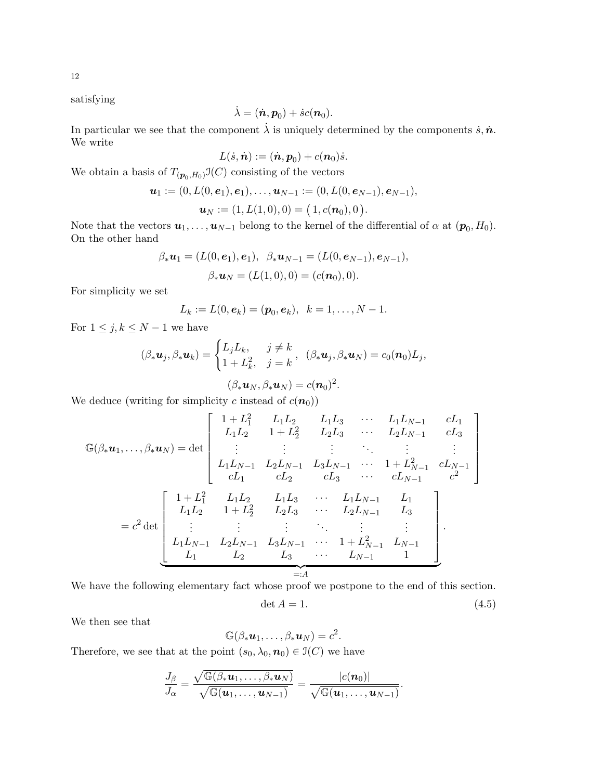12

satisfying

$$
\dot{\lambda} = (\dot{\boldsymbol{n}}, \boldsymbol{p}_0) + \dot{s}c(\boldsymbol{n}_0).
$$

In particular we see that the component  $\dot{\lambda}$  is uniquely determined by the components  $\dot{s}, \dot{n}$ . We write

$$
L(\dot{s}, \dot{\boldsymbol{n}}) := (\dot{\boldsymbol{n}}, \boldsymbol{p}_0) + c(\boldsymbol{n}_0)\dot{s}.
$$

We obtain a basis of  $T_{(p_0,H_0)}\mathfrak{I}(C)$  consisting of the vectors

$$
\boldsymbol{u}_1:=(0, L(0, \boldsymbol{e}_1), \boldsymbol{e}_1), \ldots, \boldsymbol{u}_{N-1}:=(0, L(0, \boldsymbol{e}_{N-1}), \boldsymbol{e}_{N-1}),
$$

$$
\boldsymbol{u}_N := (1, L(1,0), 0) = (1, c(\boldsymbol{n}_0), 0).
$$

Note that the vectors  $u_1, \ldots, u_{N-1}$  belong to the kernel of the differential of  $\alpha$  at  $(p_0, H_0)$ . On the other hand

$$
\beta_* \mathbf{u}_1 = (L(0, \mathbf{e}_1), \mathbf{e}_1), \ \beta_* \mathbf{u}_{N-1} = (L(0, \mathbf{e}_{N-1}), \mathbf{e}_{N-1}),
$$
  
\n $\beta_* \mathbf{u}_N = (L(1, 0), 0) = (c(\mathbf{n}_0), 0).$ 

For simplicity we set

$$
L_k := L(0, e_k) = (\mathbf{p}_0, e_k), \ \ k = 1, \ldots, N-1.
$$

For  $1 \leq j, k \leq N-1$  we have

$$
(\beta_* \mathbf{u}_j, \beta_* \mathbf{u}_k) = \begin{cases} L_j L_k, & j \neq k \\ 1 + L_k^2, & j = k \end{cases}, \ (\beta_* \mathbf{u}_j, \beta_* \mathbf{u}_N) = c_0(\mathbf{n}_0) L_j,
$$

$$
(\beta_* \mathbf{u}_N, \beta_* \mathbf{u}_N) = c(\mathbf{n}_0)^2.
$$

We deduce (writing for simplicity 
$$
c
$$
 instead of  $c(\mathbf{n}_0)$ )

$$
\mathbb{G}(\beta_* \mathbf{u}_1, \dots, \beta_* \mathbf{u}_N) = \det \begin{bmatrix}\n1 + L_1^2 & L_1 L_2 & L_1 L_3 & \cdots & L_1 L_{N-1} & cL_1 \\
L_1 L_2 & 1 + L_2^2 & L_2 L_3 & \cdots & L_2 L_{N-1} & cL_3 \\
\vdots & \vdots & \vdots & \ddots & \vdots & \vdots \\
L_1 L_{N-1} & L_2 L_{N-1} & L_3 L_{N-1} & \cdots & 1 + L_{N-1}^2 & cL_{N-1} \\
cL_1 & cL_2 & cL_3 & \cdots & cL_{N-1} & c^2\n\end{bmatrix}
$$
\n
$$
= c^2 \det \begin{bmatrix}\n1 + L_1^2 & L_1 L_2 & L_1 L_3 & \cdots & L_1 L_{N-1} & L_1 \\
L_1 L_2 & 1 + L_2^2 & L_2 L_3 & \cdots & L_2 L_{N-1} & L_3 \\
\vdots & \vdots & \vdots & \ddots & \vdots & \vdots \\
L_1 L_{N-1} & L_2 L_{N-1} & L_3 L_{N-1} & \cdots & 1 + L_{N-1}^2 & L_{N-1} \\
L_1 & L_2 & L_3 & \cdots & L_{N-1} & 1\n\end{bmatrix}
$$

 $=:A$ 

We have the following elementary fact whose proof we postpone to the end of this section.

<span id="page-12-0"></span>
$$
\det A = 1. \tag{4.5}
$$

We then see that

$$
\mathbb{G}(\beta_*\boldsymbol{u}_1,\ldots,\beta_*\boldsymbol{u}_N)=c^2.
$$

Therefore, we see that at the point  $(s_0, \lambda_0, n_0) \in \mathfrak{I}(C)$  we have

$$
\frac{J_{\beta}}{J_{\alpha}}=\frac{\sqrt{\mathbb{G}(\beta_*\boldsymbol{u}_1,\ldots,\beta_*\boldsymbol{u}_N)}}{\sqrt{\mathbb{G}(\boldsymbol{u}_1,\ldots,\boldsymbol{u}_{N-1})}}=\frac{|c(\boldsymbol{n}_0)|}{\sqrt{\mathbb{G}(\boldsymbol{u}_1,\ldots,\boldsymbol{u}_{N-1})}}.
$$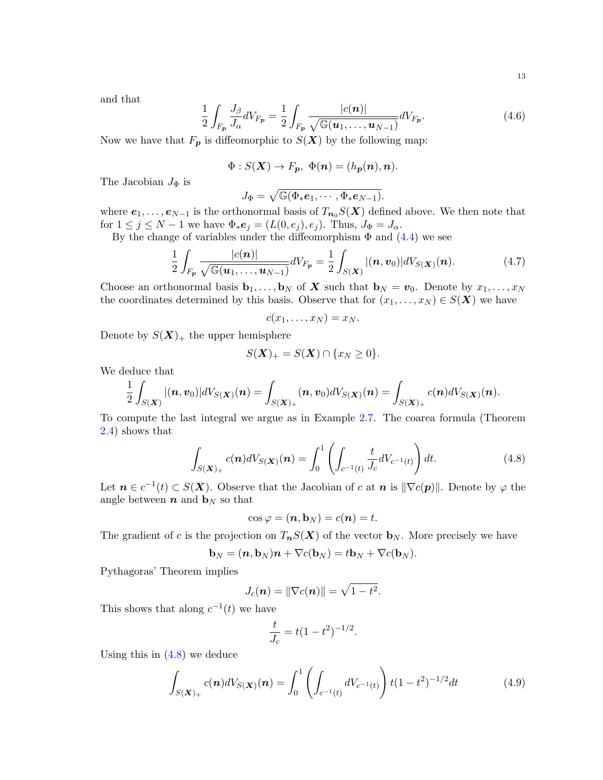and that

<span id="page-13-2"></span>
$$
\frac{1}{2} \int_{F_{\mathbf{p}}} \frac{J_{\beta}}{J_{\alpha}} dV_{F_{\mathbf{p}}} = \frac{1}{2} \int_{F_{\mathbf{p}}} \frac{|c(\mathbf{n})|}{\sqrt{\mathbb{G}(\mathbf{u}_1, \dots, \mathbf{u}_{N-1})}} dV_{F_{\mathbf{p}}}. \tag{4.6}
$$

Now we have that  $F_p$  is diffeomorphic to  $S(X)$  by the following map:

$$
\Phi: S(\mathbf{X}) \to F_p, \ \Phi(\mathbf{n}) = (h_p(\mathbf{n}), \mathbf{n}).
$$

The Jacobian  $J_{\Phi}$  is

$$
J_\Phi=\sqrt{\mathbb{G}(\Phi_*\boldsymbol{e}_1,\cdots,\Phi_*\boldsymbol{e}_{N-1})}.
$$

where  $e_1, \ldots, e_{N-1}$  is the orthonormal basis of  $T_{n_0}S(X)$  defined above. We then note that for  $1 \leq j \leq N-1$  we have  $\Phi_*\mathbf{e}_j = (L(0, e_j), e_j)$ . Thus,  $J_{\Phi} = J_{\alpha}$ .

By the change of variables under the diffeomorphism  $\Phi$  and  $(4.4)$  we see

<span id="page-13-3"></span>
$$
\frac{1}{2}\int_{F_{\boldsymbol{p}}}\frac{|c(\boldsymbol{n})|}{\sqrt{\mathbb{G}(\boldsymbol{u}_1,\ldots,\boldsymbol{u}_{N-1})}}dV_{F_{\boldsymbol{p}}}=\frac{1}{2}\int_{S(\boldsymbol{X})}|(\boldsymbol{n},\boldsymbol{v}_0)|dV_{S(\boldsymbol{X})}(\boldsymbol{n}).\tag{4.7}
$$

Choose an orthonormal basis  $\mathbf{b}_1, \ldots, \mathbf{b}_N$  of X such that  $\mathbf{b}_N = v_0$ . Denote by  $x_1, \ldots, x_N$ the coordinates determined by this basis. Observe that for  $(x_1, \ldots, x_N) \in S(X)$  we have

$$
c(x_1,\ldots,x_N)=x_N.
$$

Denote by  $S(X)_+$  the upper hemisphere

$$
S(\mathbf{X})_{+} = S(\mathbf{X}) \cap \{x_N \geq 0\}.
$$

We deduce that

$$
\frac{1}{2}\int_{S(\bm{X})}|(\bm{n},\bm{v}_0)|dV_{S(\bm{X})}(\bm{n})=\int_{S(\bm{X})_+}(\bm{n},\bm{v}_0)dV_{S(\bm{X})}(\bm{n})=\int_{S(\bm{X})_+}c(\bm{n})dV_{S(\bm{X})}(\bm{n}).
$$

To compute the last integral we argue as in Example [2.7.](#page-7-0) The coarea formula (Theorem [2.4\)](#page-6-1) shows that

<span id="page-13-0"></span>
$$
\int_{S(\mathbf{X})_+} c(\mathbf{n}) dV_{S(\mathbf{X})}(\mathbf{n}) = \int_0^1 \left( \int_{c^{-1}(t)} \frac{t}{J_c} dV_{c^{-1}(t)} \right) dt.
$$
\n(4.8)

Let  $n \in c^{-1}(t) \subset S(X)$ . Observe that the Jacobian of c at n is  $\|\nabla c(\mathbf{p})\|$ . Denote by  $\varphi$  the angle between  $n$  and  $\mathbf{b}_N$  so that

$$
\cos\varphi = (\mathbf{n},\mathbf{b}_N) = c(\mathbf{n}) = t.
$$

The gradient of c is the projection on  $T_nS(X)$  of the vector  $\mathbf{b}_N$ . More precisely we have

$$
\mathbf{b}_N = (\mathbf{n}, \mathbf{b}_N)\mathbf{n} + \nabla c(\mathbf{b}_N) = t\mathbf{b}_N + \nabla c(\mathbf{b}_N).
$$

Pythagoras' Theorem implies

$$
J_c(\boldsymbol{n}) = \|\nabla c(\boldsymbol{n})\| = \sqrt{1-t^2}.
$$

This shows that along  $c^{-1}(t)$  we have

$$
\frac{t}{J_c} = t(1 - t^2)^{-1/2}
$$

Using this in  $(4.8)$  we deduce

<span id="page-13-1"></span>
$$
\int_{S(\mathbf{X})_+} c(\mathbf{n}) dV_{S(\mathbf{X})}(\mathbf{n}) = \int_0^1 \left( \int_{c^{-1}(t)} dV_{c^{-1}(t)} \right) t(1-t^2)^{-1/2} dt \tag{4.9}
$$

.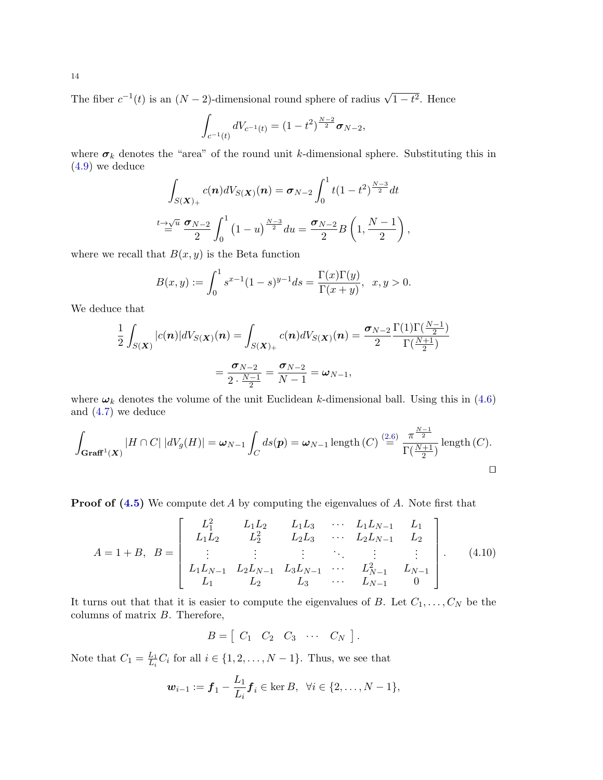The fiber  $c^{-1}(t)$  is an  $(N-2)$ -dimensional round sphere of radius  $\sqrt{1-t^2}$ . Hence

$$
\int_{c^{-1}(t)} dV_{c^{-1}(t)} = (1 - t^2)^{\frac{N-2}{2}} \sigma_{N-2},
$$

where  $\sigma_k$  denotes the "area" of the round unit k-dimensional sphere. Substituting this in [\(4.9\)](#page-13-1) we deduce

$$
\int_{S(\mathbf{X})_+} c(\mathbf{n}) dV_{S(\mathbf{X})}(\mathbf{n}) = \sigma_{N-2} \int_0^1 t (1-t^2)^{\frac{N-3}{2}} dt
$$
  

$$
\int_0^{t} \frac{1}{2} \sigma_{N-2} \int_0^1 (1-u)^{\frac{N-3}{2}} du = \frac{\sigma_{N-2}}{2} B\left(1, \frac{N-1}{2}\right),
$$

where we recall that  $B(x, y)$  is the Beta function

$$
B(x,y) := \int_0^1 s^{x-1} (1-s)^{y-1} ds = \frac{\Gamma(x)\Gamma(y)}{\Gamma(x+y)}, \ \ x, y > 0.
$$

We deduce that

$$
\frac{1}{2} \int_{S(\mathbf{X})} |c(\mathbf{n})| dV_{S(\mathbf{X})}(\mathbf{n}) = \int_{S(\mathbf{X})_+} c(\mathbf{n}) dV_{S(\mathbf{X})}(\mathbf{n}) = \frac{\sigma_{N-2}}{2} \frac{\Gamma(1)\Gamma(\frac{N-1}{2})}{\Gamma(\frac{N+1}{2})}
$$

$$
= \frac{\sigma_{N-2}}{2 \cdot \frac{N-1}{2}} = \frac{\sigma_{N-2}}{N-1} = \omega_{N-1},
$$

where  $\omega_k$  denotes the volume of the unit Euclidean k-dimensional ball. Using this in [\(4.6\)](#page-13-2) and [\(4.7\)](#page-13-3) we deduce

$$
\int_{\mathbf{Graff}^1(\mathbf{X})} |H \cap C| |dV_g(H)| = \omega_{N-1} \int_C ds(\mathbf{p}) = \omega_{N-1} \operatorname{length}(C) \stackrel{(2.6)}{=} \frac{\pi^{\frac{N-1}{2}}}{\Gamma(\frac{N+1}{2})} \operatorname{length}(C).
$$

**Proof of**  $(4.5)$  We compute det A by computing the eigenvalues of A. Note first that

$$
A = 1 + B, \ B = \begin{bmatrix} L_1^2 & L_1L_2 & L_1L_3 & \cdots & L_1L_{N-1} & L_1 \\ L_1L_2 & L_2^2 & L_2L_3 & \cdots & L_2L_{N-1} & L_2 \\ \vdots & \vdots & \vdots & \ddots & \vdots & \vdots \\ L_1L_{N-1} & L_2L_{N-1} & L_3L_{N-1} & \cdots & L_{N-1}^2 & L_{N-1} \\ L_1 & L_2 & L_3 & \cdots & L_{N-1} & 0 \end{bmatrix} .
$$
 (4.10)

It turns out that that it is easier to compute the eigenvalues of B. Let  $C_1, \ldots, C_N$  be the columns of matrix B. Therefore,

 $B = \begin{bmatrix} C_1 & C_2 & C_3 & \cdots & C_N \end{bmatrix}$ .

Note that  $C_1 = \frac{L_1}{L_1}$  $\frac{L_1}{L_i}C_i$  for all  $i \in \{1, 2, \ldots, N-1\}$ . Thus, we see that

$$
\mathbf{w}_{i-1} := \mathbf{f}_1 - \frac{L_1}{L_i} \mathbf{f}_i \in \ker B, \ \ \forall i \in \{2, \dots, N-1\},
$$

14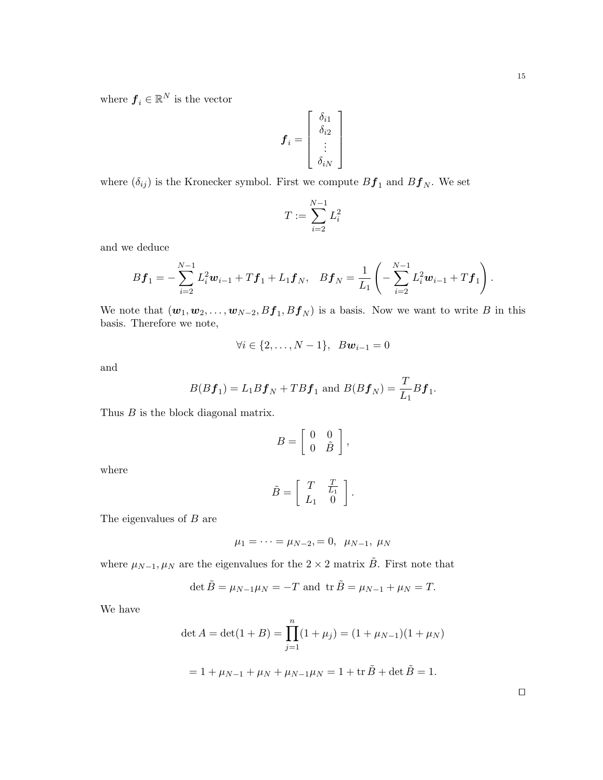where  $\boldsymbol{f}_i \in \mathbb{R}^N$  is the vector

$$
\boldsymbol{f}_i = \left[ \begin{array}{c} \delta_{i1} \\ \delta_{i2} \\ \vdots \\ \delta_{iN} \end{array} \right]
$$

where  $(\delta_{ij})$  is the Kronecker symbol. First we compute  $Bf_1$  and  $Bf_N$ . We set

$$
T:=\sum_{i=2}^{N-1}L_i^2
$$

and we deduce

$$
B\boldsymbol{f}_1 = -\sum_{i=2}^{N-1} L_i^2 \boldsymbol{w}_{i-1} + T\boldsymbol{f}_1 + L_1\boldsymbol{f}_N, \quad B\boldsymbol{f}_N = \frac{1}{L_1} \left( -\sum_{i=2}^{N-1} L_i^2 \boldsymbol{w}_{i-1} + T\boldsymbol{f}_1 \right).
$$

We note that  $(w_1, w_2, \ldots, w_{N-2}, Bf_1, Bf_N)$  is a basis. Now we want to write B in this basis. Therefore we note,

$$
\forall i \in \{2, ..., N-1\}, \, Bw_{i-1} = 0
$$

and

$$
B(Bf_1) = L_1Bf_N + T Bf_1
$$
 and 
$$
B(Bf_N) = \frac{T}{L_1}Bf_1.
$$

Thus  $B$  is the block diagonal matrix.

$$
B = \left[ \begin{array}{cc} 0 & 0 \\ 0 & \tilde{B} \end{array} \right],
$$

where

$$
\tilde{B} = \left[ \begin{array}{cc} T & \frac{T}{L_1} \\ L_1 & 0 \end{array} \right].
$$

The eigenvalues of  $B$  are

$$
\mu_1 = \cdots = \mu_{N-2}, = 0, \mu_{N-1}, \mu_N
$$

where  $\mu_{N-1}, \mu_N$  are the eigenvalues for the 2 × 2 matrix  $\tilde{B}$ . First note that

$$
\det \tilde{B} = \mu_{N-1}\mu_N = -T
$$
 and 
$$
\operatorname{tr} \tilde{B} = \mu_{N-1} + \mu_N = T.
$$

We have

$$
\det A = \det(1 + B) = \prod_{j=1}^{n} (1 + \mu_j) = (1 + \mu_{N-1})(1 + \mu_N)
$$

$$
= 1 + \mu_{N-1} + \mu_N + \mu_{N-1}\mu_N = 1 + \text{tr}\,\tilde{B} + \det\tilde{B} = 1.
$$

 $\Box$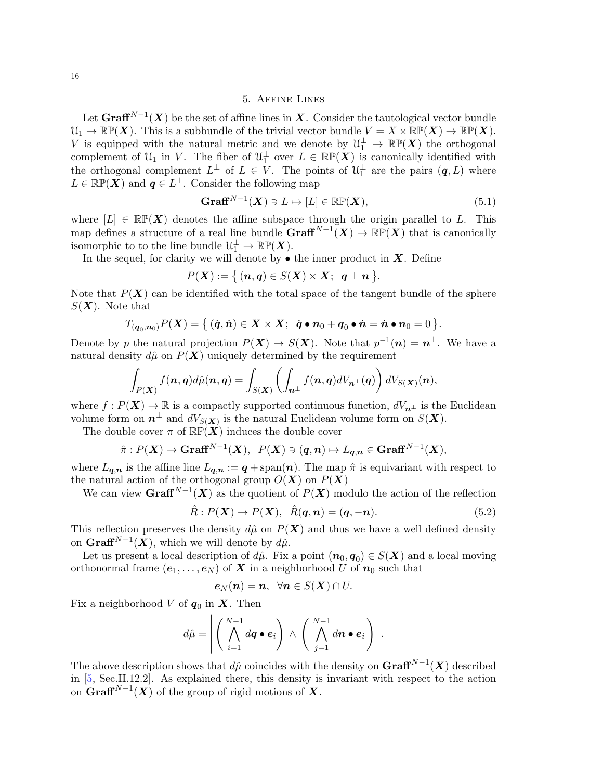## 5. Affine Lines

<span id="page-16-0"></span>Let  $\mathbf{Graff}^{N-1}(\boldsymbol{X})$  be the set of affine lines in  $\boldsymbol{X}$ . Consider the tautological vector bundle  $\mathcal{U}_1 \to \mathbb{RP}(\boldsymbol{X})$ . This is a subbundle of the trivial vector bundle  $V = X \times \mathbb{RP}(\boldsymbol{X}) \to \mathbb{RP}(\boldsymbol{X})$ . V is equipped with the natural metric and we denote by  $\mathcal{U}_1^{\perp} \to \mathbb{RP}(X)$  the orthogonal complement of  $\mathcal{U}_1$  in V. The fiber of  $\mathcal{U}_1^{\perp}$  over  $L \in \mathbb{RP}(\mathbf{X})$  is canonically identified with the orthogonal complement  $L^{\perp}$  of  $L \in V$ . The points of  $\mathfrak{U}_1^{\perp}$  are the pairs  $(q, L)$  where  $L \in \mathbb{RP}(\boldsymbol{X})$  and  $q \in L^{\perp}$ . Consider the following map

$$
\mathbf{Graff}^{N-1}(\boldsymbol{X}) \ni L \mapsto [L] \in \mathbb{RP}(\boldsymbol{X}),\tag{5.1}
$$

where  $[L] \in \mathbb{RP}(X)$  denotes the affine subspace through the origin parallel to L. This map defines a structure of a real line bundle  $\mathbf{Graff}^{N-1}(\boldsymbol{X}) \to \mathbb{RP}(\boldsymbol{X})$  that is canonically isomorphic to to the line bundle  $\mathcal{U}_1^{\perp} \to \mathbb{RP}(\boldsymbol{X})$ .

In the sequel, for clarity we will denote by  $\bullet$  the inner product in  $\boldsymbol{X}.$  Define

$$
P(\mathbf{X}) := \{(\mathbf{n},\mathbf{q}) \in S(\mathbf{X}) \times \mathbf{X}; \ \mathbf{q} \perp \mathbf{n} \}.
$$

Note that  $P(X)$  can be identified with the total space of the tangent bundle of the sphere  $S(X)$ . Note that

$$
T_{(\boldsymbol{q}_0,\boldsymbol{n}_0)}P(\boldsymbol{X})=\big\{\,(\dot{\boldsymbol{q}},\dot{\boldsymbol{n}})\in \boldsymbol{X}\times\boldsymbol{X};\;\;\dot{\boldsymbol{q}}\bullet\boldsymbol{n}_0+\boldsymbol{q}_0\bullet\dot{\boldsymbol{n}}=\dot{\boldsymbol{n}}\bullet\boldsymbol{n}_0=0\,\big\}.
$$

Denote by p the natural projection  $P(X) \to S(X)$ . Note that  $p^{-1}(n) = n^{\perp}$ . We have a natural density  $d\hat{\mu}$  on  $P(X)$  uniquely determined by the requirement

$$
\int_{P(\boldsymbol{X})} f(\boldsymbol{n},\boldsymbol{q}) d\hat{\mu}(\boldsymbol{n},\boldsymbol{q}) = \int_{S(\boldsymbol{X})} \left( \int_{\boldsymbol{n}^\perp} f(\boldsymbol{n},\boldsymbol{q}) dV_{\boldsymbol{n}^\perp}(\boldsymbol{q}) \right) dV_{S(\boldsymbol{X})}(\boldsymbol{n}),
$$

where  $f: P(X) \to \mathbb{R}$  is a compactly supported continuous function,  $dV_{n^{\perp}}$  is the Euclidean volume form on  $n^{\perp}$  and  $dV_{S(X)}$  is the natural Euclidean volume form on  $S(X)$ .

The double cover  $\pi$  of  $\mathbb{RP}(X)$  induces the double cover

$$
\hat{\pi}: P(X) \to \text{Graff}^{N-1}(X), P(X) \ni (q, n) \mapsto L_{q,n} \in \text{Graff}^{N-1}(X),
$$

where  $L_{q,n}$  is the affine line  $L_{q,n} := q + \text{span}(n)$ . The map  $\hat{\pi}$  is equivariant with respect to the natural action of the orthogonal group  $O(X)$  on  $P(X)$ 

We can view  $\mathbf{Graff}^{N-1}(\boldsymbol{X})$  as the quotient of  $P(\boldsymbol{X})$  modulo the action of the reflection

$$
\hat{R}: P(\mathbf{X}) \to P(\mathbf{X}), \quad \hat{R}(\mathbf{q}, \mathbf{n}) = (\mathbf{q}, -\mathbf{n}). \tag{5.2}
$$

This reflection preserves the density  $d\hat{\mu}$  on  $P(X)$  and thus we have a well defined density on  $\mathbf{Graff}^{N-1}(\boldsymbol{X}),$  which we will denote by  $d\hat{\mu}$ .

Let us present a local description of  $d\hat{\mu}$ . Fix a point  $(n_0, q_0) \in S(X)$  and a local moving orthonormal frame  $(e_1, \ldots, e_N)$  of X in a neighborhood U of  $n_0$  such that

$$
\boldsymbol{e}_N(\boldsymbol{n})=\boldsymbol{n},\;\;\forall \boldsymbol{n}\in S(\boldsymbol{X})\cap U.
$$

Fix a neighborhood V of  $q_0$  in X. Then

$$
d\hat{\mu} = \left| \left( \bigwedge_{i=1}^{N-1} dq \bullet e_i \right) \wedge \left( \bigwedge_{j=1}^{N-1} dn \bullet e_i \right) \right|.
$$

The above description shows that  $d\hat{\mu}$  coincides with the density on  $\mathbf{Graff}^{N-1}(\bm{X})$  described in [\[5,](#page-22-6) Sec.II.12.2]. As explained there, this density is invariant with respect to the action on  $\mathbf{Graff}^{N-1}(\boldsymbol{X})$  of the group of rigid motions of  $\boldsymbol{X}.$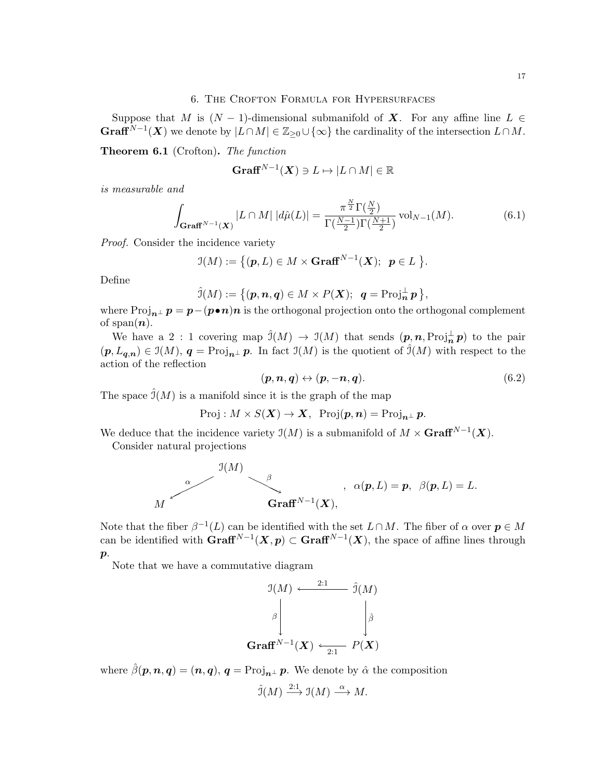#### 6. The Crofton Formula for Hypersurfaces

<span id="page-17-0"></span>Suppose that M is  $(N-1)$ -dimensional submanifold of X. For any affine line  $L \in$ **Graff**<sup>N-1</sup>(X) we denote by  $|L \cap M| \in \mathbb{Z}_{\geq 0} \cup \{\infty\}$  the cardinality of the intersection  $L \cap M$ .

Theorem 6.1 (Crofton). The function

$$
\mathbf{Graff}^{N-1}(\boldsymbol{X})\ni L\mapsto |L\cap M|\in\mathbb{R}
$$

is measurable and

<span id="page-17-1"></span>
$$
\int_{\mathbf{Graff}^{N-1}(\mathbf{X})} |L \cap M| \, |d\hat{\mu}(L)| = \frac{\pi^{\frac{N}{2}} \Gamma(\frac{N}{2})}{\Gamma(\frac{N-1}{2}) \Gamma(\frac{N+1}{2})} \operatorname{vol}_{N-1}(M). \tag{6.1}
$$

Proof. Consider the incidence variety

$$
\mathfrak{I}(M):=\big\{(\boldsymbol{p},L)\in M\times\mathbf{Graff}^{N-1}(\boldsymbol{X});\;\;\boldsymbol{p}\in L\big\}.
$$

Define

$$
\hat{\mathcal{I}}(M):=\big\{(\pmb{p},\pmb{n},\pmb{q})\in M\times P(\pmb{X});\;\; \pmb{q}=\text{Proj}_{\pmb{n}}^{\perp}\pmb{p}\,\big\},
$$

where  $\text{Proj}_{n^{\perp}} p = p - (p \cdot n)n$  is the orthogonal projection onto the orthogonal complement of span $(n)$ .

We have a 2 : 1 covering map  $\hat{J}(M) \to J(M)$  that sends  $(p, n, \text{Proj}_{\mathbf{n}}^{\perp} p)$  to the pair  $(p, L_{q,n}) \in \mathfrak{I}(M), q = \text{Proj}_{n^{\perp}} p$ . In fact  $\mathfrak{I}(M)$  is the quotient of  $\widehat{\mathfrak{I}}(M)$  with respect to the action of the reflection

$$
(\boldsymbol{p}, \boldsymbol{n}, \boldsymbol{q}) \leftrightarrow (\boldsymbol{p}, -\boldsymbol{n}, \boldsymbol{q}). \tag{6.2}
$$

The space  $\hat{\mathcal{I}}(M)$  is a manifold since it is the graph of the map

 $Proj: M \times S(X) \rightarrow X$ ,  $Proj(\mathbf{p}, \mathbf{n}) = Proj_{\mathbf{n}^{\perp}} \mathbf{p}$ .

We deduce that the incidence variety  $\mathfrak{I}(M)$  is a submanifold of  $M \times \mathbf{Graff}^{N-1}(\mathbf{X})$ .

Consider natural projections

$$
\mathcal{H} \qquad \qquad \alpha \qquad \mathcal{H} \qquad \qquad \beta \qquad \qquad \alpha(\pmb{p},L) = \pmb{p}, \ \ \beta(\pmb{p},L) = L.
$$
 
$$
\text{Graff}^{N-1}(\pmb{X}),
$$

Note that the fiber  $\beta^{-1}(L)$  can be identified with the set  $L \cap M$ . The fiber of  $\alpha$  over  $p \in M$ can be identified with  $\mathbf{Graff}^{N-1}(\mathbf{X}, \mathbf{p}) \subset \mathbf{Graff}^{N-1}(\mathbf{X})$ , the space of affine lines through  $\boldsymbol{p}$ .

Note that we have a commutative diagram

$$
\mathfrak{I}(M) \xleftarrow{2:1} \hat{\mathfrak{I}}(M)
$$
\n
$$
\upbeta \qquad \qquad \downarrow \hat{\beta}
$$
\n
$$
\mathbf{Graff}^{N-1}(\boldsymbol{X}) \xleftarrow{2:1} P(\boldsymbol{X})
$$

where  $\hat{\beta}(\mathbf{p}, \mathbf{n}, \mathbf{q}) = (\mathbf{n}, \mathbf{q}), \mathbf{q} = \text{Proj}_{\mathbf{n}^{\perp}} \mathbf{p}$ . We denote by  $\hat{\alpha}$  the composition

$$
\hat{\mathfrak{I}}(M) \xrightarrow{2:1} \mathfrak{I}(M) \xrightarrow{\alpha} M.
$$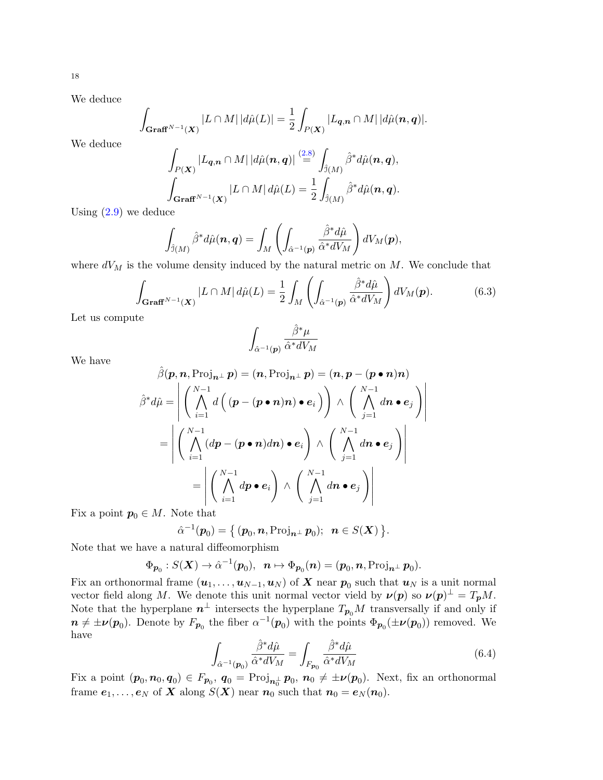We deduce

$$
\int_{\mathbf{Graff}^{N-1}(\mathbf{X})} |L \cap M| \, |d\hat{\mu}(L)| = \frac{1}{2} \int_{P(\mathbf{X})} |L_{\mathbf{q},\mathbf{n}} \cap M| \, |d\hat{\mu}(\mathbf{n},\mathbf{q})|.
$$

We deduce

$$
\int_{P(\mathbf{X})} |L_{\mathbf{q},\mathbf{n}} \cap M| \, |d\hat{\mu}(\mathbf{n},\mathbf{q})| \stackrel{(2.8)}{=} \int_{\hat{\mathfrak{I}}(M)} \hat{\beta}^* d\hat{\mu}(\mathbf{n},\mathbf{q}),
$$
\n
$$
\int_{\mathbf{Graff}^{N-1}(\mathbf{X})} |L \cap M| \, d\hat{\mu}(L) = \frac{1}{2} \int_{\hat{\mathfrak{I}}(M)} \hat{\beta}^* d\hat{\mu}(\mathbf{n},\mathbf{q}).
$$

Using  $(2.9)$  we deduce

$$
\int_{\hat{\mathfrak{I}}(M)}\hat{\beta}^{*}d\hat{\mu}(\boldsymbol{n},\boldsymbol{q})=\int_{M}\left(\int_{\hat{\alpha}^{-1}(\boldsymbol{p})}\frac{\hat{\beta}^{*}d\hat{\mu}}{\hat{\alpha}^{*}dV_{M}}\right)dV_{M}(\boldsymbol{p}),
$$

where  $dV_M$  is the volume density induced by the natural metric on  $M$ . We conclude that

<span id="page-18-0"></span>
$$
\int_{\mathbf{Graff}^{N-1}(\mathbf{X})} |L \cap M| d\hat{\mu}(L) = \frac{1}{2} \int_M \left( \int_{\hat{\alpha}^{-1}(\mathbf{p})} \frac{\hat{\beta}^* d\hat{\mu}}{\hat{\alpha}^* dV_M} \right) dV_M(\mathbf{p}). \tag{6.3}
$$

Let us compute

$$
\int_{\hat{\alpha}^{-1}({\bm p})} \frac{\hat{\beta}^* \mu}{\hat{\alpha}^* dV_M}
$$

We have

$$
\hat{\beta}(\boldsymbol{p}, \boldsymbol{n}, \text{Proj}_{\boldsymbol{n}^{\perp}} \boldsymbol{p}) = (\boldsymbol{n}, \text{Proj}_{\boldsymbol{n}^{\perp}} \boldsymbol{p}) = (\boldsymbol{n}, \boldsymbol{p} - (\boldsymbol{p} \cdot \boldsymbol{n}) \boldsymbol{n})
$$
\n
$$
\hat{\beta}^* d\hat{\mu} = \left| \left( \bigwedge_{i=1}^{N-1} d \left( (\boldsymbol{p} - (\boldsymbol{p} \cdot \boldsymbol{n}) \boldsymbol{n}) \bullet \boldsymbol{e}_i \right) \right) \wedge \left( \bigwedge_{j=1}^{N-1} d\boldsymbol{n} \bullet \boldsymbol{e}_j \right) \right|
$$
\n
$$
= \left| \left( \bigwedge_{i=1}^{N-1} (d\boldsymbol{p} - (\boldsymbol{p} \cdot \boldsymbol{n}) d\boldsymbol{n}) \bullet \boldsymbol{e}_i \right) \wedge \left( \bigwedge_{j=1}^{N-1} d\boldsymbol{n} \bullet \boldsymbol{e}_j \right) \right|
$$
\n
$$
= \left| \left( \bigwedge_{i=1}^{N-1} d\boldsymbol{p} \bullet \boldsymbol{e}_i \right) \wedge \left( \bigwedge_{j=1}^{N-1} d\boldsymbol{n} \bullet \boldsymbol{e}_j \right) \right|
$$
\n6. M. Note that

Fix a point  $p_0 \in M$ . Note that

$$
\hat{\alpha}^{-1}(\mathbf{p}_0) = \{ (p_0, \mathbf{n}, \text{Proj}_{\mathbf{n}^{\perp}} \mathbf{p}_0); \ \mathbf{n} \in S(\mathbf{X}) \}.
$$

Note that we have a natural diffeomorphism

$$
\Phi_{\boldsymbol{p}_0}:S(\boldsymbol{X})\to\hat{\alpha}^{-1}(\boldsymbol{p}_0),\;\; \boldsymbol{n}\mapsto\Phi_{\boldsymbol{p}_0}(\boldsymbol{n})=(\boldsymbol{p}_0,\boldsymbol{n},\text{Proj}_{\boldsymbol{n}^\perp}\boldsymbol{p}_0).
$$

Fix an orthonormal frame  $(\boldsymbol{u}_1, \dots, \boldsymbol{u}_{N-1}, \boldsymbol{u}_N)$  of  $\boldsymbol{X}$  near  $\boldsymbol{p}_0$  such that  $\boldsymbol{u}_N$  is a unit normal vector field along M. We denote this unit normal vector vield by  $\nu(p)$  so  $\nu(p)^{\perp} = T_p M$ . Note that the hyperplane  $n^{\perp}$  intersects the hyperplane  $T_{p_0}M$  transversally if and only if  $n \neq \pm \nu(p_0)$ . Denote by  $F_{p_0}$  the fiber  $\alpha^{-1}(p_0)$  with the points  $\Phi_{p_0}(\pm \nu(p_0))$  removed. We have

<span id="page-18-1"></span>
$$
\int_{\hat{\alpha}^{-1}(\boldsymbol{p}_0)} \frac{\hat{\beta}^* d\hat{\mu}}{\hat{\alpha}^* dV_M} = \int_{F_{\boldsymbol{p}_0}} \frac{\hat{\beta}^* d\hat{\mu}}{\hat{\alpha}^* dV_M} \tag{6.4}
$$

Fix a point  $(p_0, n_0, q_0) \in F_{p_0}$ ,  $q_0 = \text{Proj}_{n_0^{\perp}} p_0$ ,  $n_0 \neq \pm \nu(p_0)$ . Next, fix an orthonormal frame  $e_1, \ldots, e_N$  of X along  $S(X)$  near  $n_0$  such that  $n_0 = e_N(n_0)$ .

18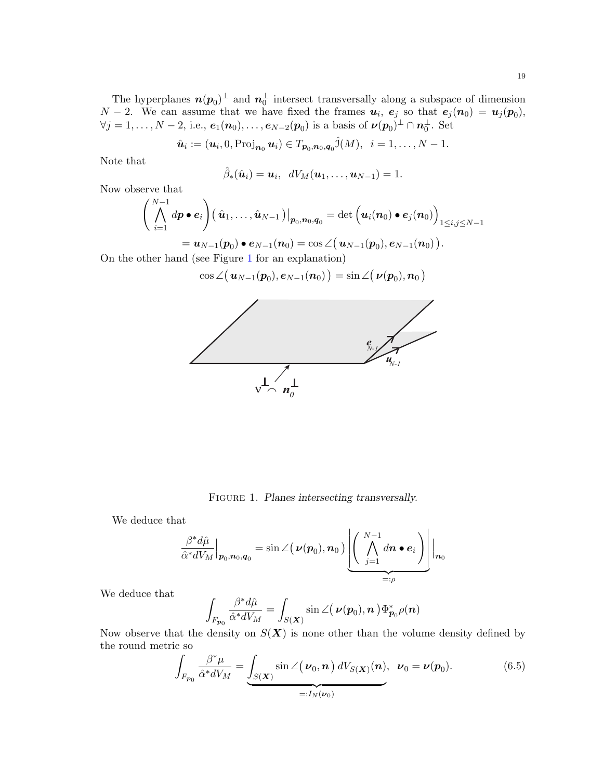$$
\hat{\boldsymbol{u}}_i := (\boldsymbol{u}_i, 0, \text{Proj}_{\boldsymbol{n}_0} \boldsymbol{u}_i) \in T_{\boldsymbol{p}_0, \boldsymbol{n}_0, \boldsymbol{q}_0} \hat{J}(M), \ \ i = 1, \ldots, N-1.
$$

Note that

$$
\hat{\beta}_*(\hat{\boldsymbol{u}}_i)=\boldsymbol{u}_i, \ \ dV_M(\boldsymbol{u}_1,\ldots,\boldsymbol{u}_{N-1})=1.
$$

Now observe that

$$
\left(\bigwedge_{i=1}^{N-1} dp \bullet e_i\right)\left(\hat{\boldsymbol{u}}_1,\ldots,\hat{\boldsymbol{u}}_{N-1}\right)\big|_{\boldsymbol{p}_0,\boldsymbol{n}_0,\boldsymbol{q}_0} = \det\left(\boldsymbol{u}_i(\boldsymbol{n}_0)\bullet e_j(\boldsymbol{n}_0)\right)_{1\leq i,j\leq N-1} \\ = \boldsymbol{u}_{N-1}(\boldsymbol{p}_0)\bullet e_{N-1}(\boldsymbol{n}_0) = \cos\angle\left(\boldsymbol{u}_{N-1}(\boldsymbol{p}_0),e_{N-1}(\boldsymbol{n}_0)\right).
$$

$$
= \boldsymbol{u}_{N-1}(\boldsymbol{p}_0) \bullet \boldsymbol{e}_{N-1}(\boldsymbol{n}_0) = \cos \angle (\boldsymbol{u}_{N-1}(\boldsymbol{p}_0), \boldsymbol{e}_{N-1}(\boldsymbol{n}_0))
$$
  
of (see Figure 1 for an explanation)

On the other hand (see Figure [1](#page-19-0) for an  $\exp$ 

$$
\cos\angle\bigl(\,\boldsymbol{u}_{N-1}(\boldsymbol{p}_0),\boldsymbol{e}_{N-1}(\boldsymbol{n}_0)\,\bigr)=\sin\angle\bigl(\,\boldsymbol{\nu}(\boldsymbol{p}_0),\boldsymbol{n}_0\,\bigr)
$$



<span id="page-19-0"></span>FIGURE 1. Planes intersecting transversally.

We deduce that

$$
\left.\frac{\beta^*d\hat{\mu}}{\hat{\alpha}^*dV_M}\right|_{\mathcal{P}_0,\mathcal{D}_0,\mathcal{q}_0}=\sin\angle\big(\,\boldsymbol\nu(\mathcal{p}_0),\mathcal{n}_0\,\big)\left(\bigg[\bigwedge_{j=1}^{N-1}d\mathcal{n}\bullet\boldsymbol{e}_i\,\bigg)\right]\bigg|_{\mathcal{D}_0}
$$

We deduce that

$$
\int_{F_{\boldsymbol{p}_0}} \frac{\beta^* d\hat{\mu}}{\hat{\alpha}^* dV_M} = \int_{S(\boldsymbol{X})} \sin \angle (\boldsymbol{\nu}(\boldsymbol{p}_0), \boldsymbol{n}) \Phi_{\boldsymbol{p}_0}^* \rho(\boldsymbol{n})
$$

Now observe that the density on  $S(X)$  is none other than the volume density defined by the round metric so

<span id="page-19-1"></span>
$$
\int_{F_{\mathcal{P}_0}} \frac{\beta^* \mu}{\hat{\alpha}^* dV_M} = \underbrace{\int_{S(\mathbf{X})} \sin \angle (\boldsymbol{\nu}_0, \boldsymbol{n}) dV_{S(\mathbf{X})}(\boldsymbol{n})}_{=:I_N(\boldsymbol{\nu}_0)}, \quad \boldsymbol{\nu}_0 = \boldsymbol{\nu}(\boldsymbol{p}_0). \tag{6.5}
$$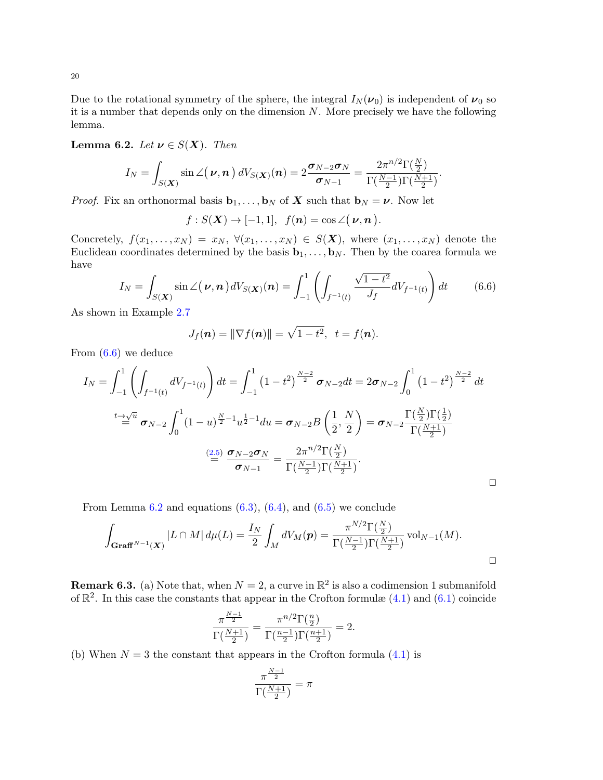Due to the rotational symmetry of the sphere, the integral  $I_N(\nu_0)$  is independent of  $\nu_0$  so it is a number that depends only on the dimension  $N$ . More precisely we have the following lemma.

<span id="page-20-1"></span>**Lemma 6.2.** Let  $\nu \in S(X)$ . Then

$$
I_N = \int_{S(\boldsymbol{X})} \sin \angle (\boldsymbol{\nu}, \boldsymbol{n}) dV_{S(\boldsymbol{X})}(\boldsymbol{n}) = 2 \frac{\boldsymbol{\sigma}_{N-2} \boldsymbol{\sigma}_N}{\boldsymbol{\sigma}_{N-1}} = \frac{2 \pi^{n/2} \Gamma(\frac{N}{2})}{\Gamma(\frac{N-1}{2}) \Gamma(\frac{N+1}{2})}.
$$

*Proof.* Fix an orthonormal basis  $\mathbf{b}_1, \ldots, \mathbf{b}_N$  of **X** such that  $\mathbf{b}_N = \boldsymbol{\nu}$ . Now let

$$
f: S(\mathbf{X}) \to [-1,1], f(n) = \cos \angle(\nu, n).
$$

Concretely,  $f(x_1, \ldots, x_N) = x_N$ ,  $\forall (x_1, \ldots, x_N) \in S(\mathbf{X})$ , where  $(x_1, \ldots, x_N)$  denote the Euclidean coordinates determined by the basis  $\mathbf{b}_1, \ldots, \mathbf{b}_N$ . Then by the coarea formula we have √

<span id="page-20-0"></span>
$$
I_N = \int_{S(\mathbf{X})} \sin \angle(\boldsymbol{\nu}, \boldsymbol{n}) dV_{S(\mathbf{X})}(\boldsymbol{n}) = \int_{-1}^1 \left( \int_{f^{-1}(t)} \frac{\sqrt{1-t^2}}{J_f} dV_{f^{-1}(t)} \right) dt \qquad (6.6)
$$

As shown in Example [2.7](#page-7-0)

$$
J_f(\boldsymbol{n}) = \|\nabla f(\boldsymbol{n})\| = \sqrt{1-t^2}, \ \ t = f(\boldsymbol{n}).
$$

From [\(6.6\)](#page-20-0) we deduce

$$
I_N = \int_{-1}^{1} \left( \int_{f^{-1}(t)} dV_{f^{-1}(t)} \right) dt = \int_{-1}^{1} \left( 1 - t^2 \right)^{\frac{N-2}{2}} \sigma_{N-2} dt = 2\sigma_{N-2} \int_{0}^{1} \left( 1 - t^2 \right)^{\frac{N-2}{2}} dt
$$
  

$$
\stackrel{t \to \sqrt{u}}{=} \sigma_{N-2} \int_{0}^{1} \left( 1 - u \right)^{\frac{N}{2}-1} u^{\frac{1}{2}-1} du = \sigma_{N-2} B \left( \frac{1}{2}, \frac{N}{2} \right) = \sigma_{N-2} \frac{\Gamma(\frac{N}{2}) \Gamma(\frac{1}{2})}{\Gamma(\frac{N+1}{2})}
$$
  

$$
\stackrel{(2.5)}{=} \frac{\sigma_{N-2} \sigma_N}{\sigma_{N-1}} = \frac{2\pi^{n/2} \Gamma(\frac{N}{2})}{\Gamma(\frac{N-1}{2}) \Gamma(\frac{N+1}{2})}.
$$

From Lemma  $6.2$  and equations  $(6.3)$ ,  $(6.4)$ , and  $(6.5)$  we conclude

$$
\int_{\mathbf{Graff}^{N-1}(\mathbf{X})} |L \cap M| d\mu(L) = \frac{I_N}{2} \int_M dV_M(\mathbf{p}) = \frac{\pi^{N/2} \Gamma(\frac{N}{2})}{\Gamma(\frac{N-1}{2}) \Gamma(\frac{N+1}{2})} \text{vol}_{N-1}(M).
$$

**Remark 6.3.** (a) Note that, when  $N = 2$ , a curve in  $\mathbb{R}^2$  is also a codimension 1 submanifold of  $\mathbb{R}^2$ . In this case the constants that appear in the Crofton formulæ  $(4.1)$  and  $(6.1)$  coincide

$$
\frac{\pi^{\frac{N-1}{2}}}{\Gamma(\frac{N+1}{2})} = \frac{\pi^{n/2}\Gamma(\frac{n}{2})}{\Gamma(\frac{n-1}{2})\Gamma(\frac{n+1}{2})} = 2.
$$

(b) When  $N = 3$  the constant that appears in the Crofton formula  $(4.1)$  is

$$
\frac{\pi^{\frac{N-1}{2}}}{\Gamma(\frac{N+1}{2})}=\pi
$$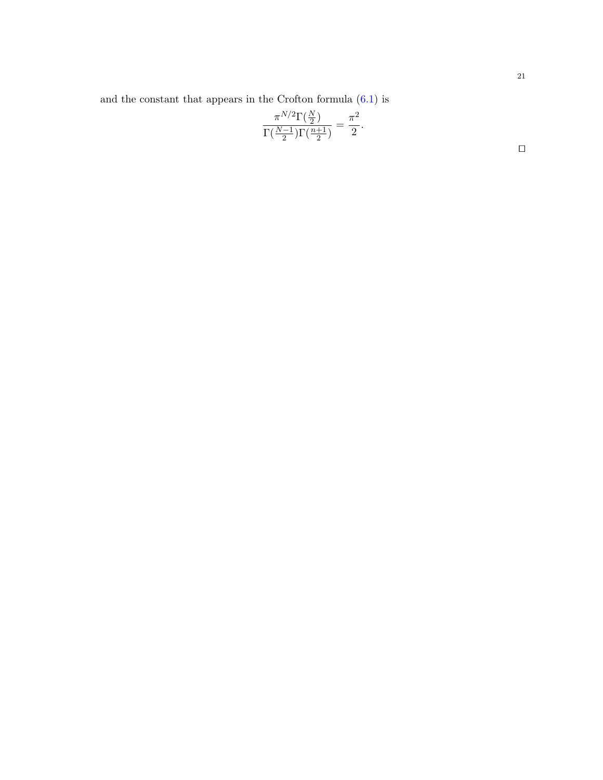and the constant that appears in the Crofton formula [\(6.1\)](#page-17-1) is

$$
\frac{\pi^{N/2}\Gamma(\frac{N}{2})}{\Gamma(\frac{N-1}{2})\Gamma(\frac{n+1}{2})} = \frac{\pi^2}{2}.
$$

 $\Box$